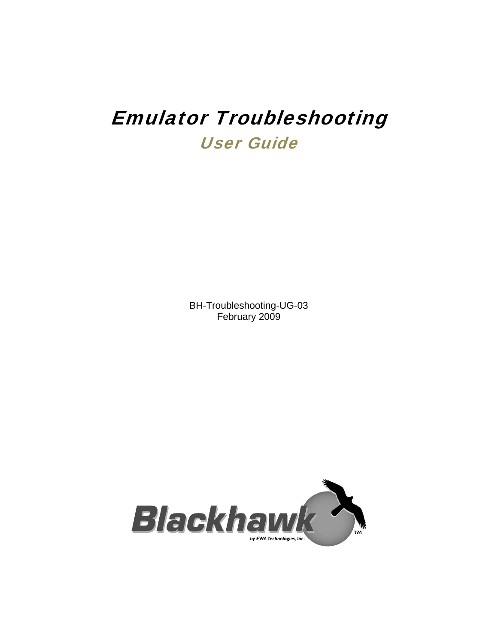# Emulator Troubleshooting User Guide

BH-Troubleshooting-UG-03 February 2009

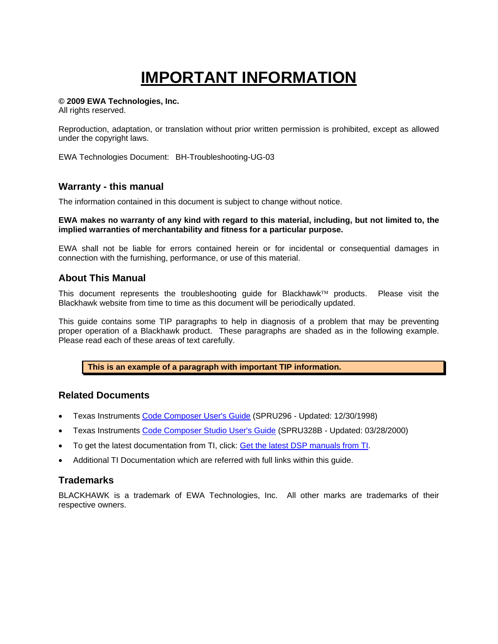# **IMPORTANT INFORMATION**

#### **© 2009 EWA Technologies, Inc.**

All rights reserved.

Reproduction, adaptation, or translation without prior written permission is prohibited, except as allowed under the copyright laws.

EWA Technologies Document: BH-Troubleshooting-UG-03

#### **Warranty - this manual**

The information contained in this document is subject to change without notice.

#### **EWA makes no warranty of any kind with regard to this material, including, but not limited to, the implied warranties of merchantability and fitness for a particular purpose.**

EWA shall not be liable for errors contained herein or for incidental or consequential damages in connection with the furnishing, performance, or use of this material.

#### **About This Manual**

This document represents the troubleshooting guide for Blackhawk™ products. Please visit the Blackhawk website from time to time as this document will be periodically updated.

This guide contains some TIP paragraphs to help in diagnosis of a problem that may be preventing proper operation of a Blackhawk product. These paragraphs are shaded as in the following example. Please read each of these areas of text carefully.

**This is an example of a paragraph with important TIP information.** 

#### **Related Documents**

- Texas Instruments Code Composer User's Guide (SPRU296 Updated: 12/30/1998)
- Texas Instruments Code Composer Studio User's Guide (SPRU328B Updated: 03/28/2000)
- To get the latest documentation from TI, click: Get the latest DSP manuals from TI.
- Additional TI Documentation which are referred with full links within this guide.

#### **Trademarks**

BLACKHAWK is a trademark of EWA Technologies, Inc. All other marks are trademarks of their respective owners.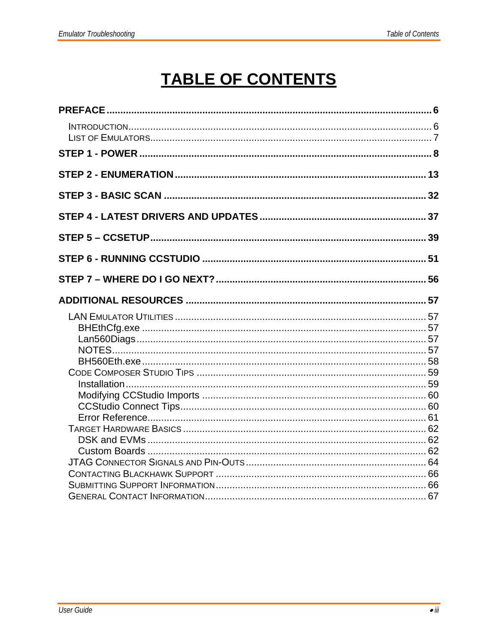# **TABLE OF CONTENTS**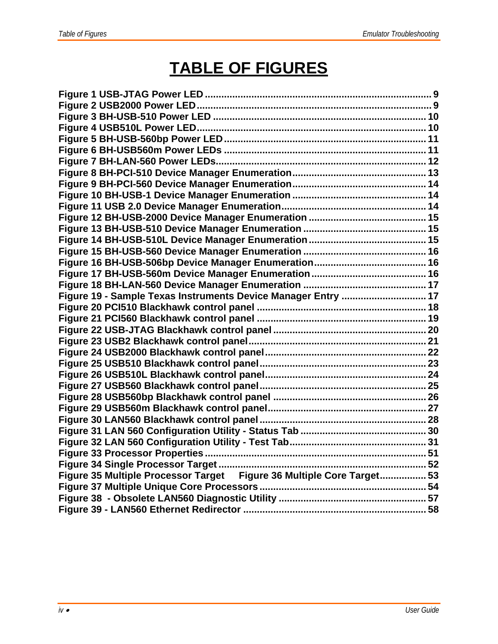# **TABLE OF FIGURES**

| Figure 19 - Sample Texas Instruments Device Manager Entry  17         |  |
|-----------------------------------------------------------------------|--|
|                                                                       |  |
|                                                                       |  |
|                                                                       |  |
|                                                                       |  |
|                                                                       |  |
|                                                                       |  |
|                                                                       |  |
|                                                                       |  |
|                                                                       |  |
|                                                                       |  |
|                                                                       |  |
|                                                                       |  |
|                                                                       |  |
|                                                                       |  |
|                                                                       |  |
| Figure 35 Multiple Processor Target Figure 36 Multiple Core Target 53 |  |
|                                                                       |  |
|                                                                       |  |
|                                                                       |  |
|                                                                       |  |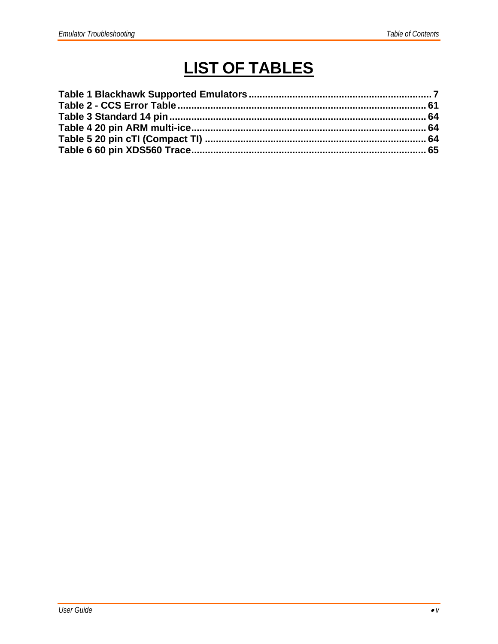# **LIST OF TABLES**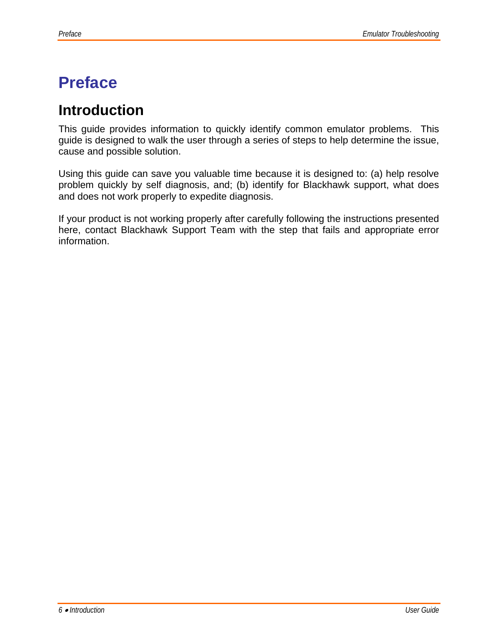# **Preface**

## **Introduction**

This guide provides information to quickly identify common emulator problems. This guide is designed to walk the user through a series of steps to help determine the issue, cause and possible solution.

Using this guide can save you valuable time because it is designed to: (a) help resolve problem quickly by self diagnosis, and; (b) identify for Blackhawk support, what does and does not work properly to expedite diagnosis.

If your product is not working properly after carefully following the instructions presented here, contact Blackhawk Support Team with the step that fails and appropriate error information.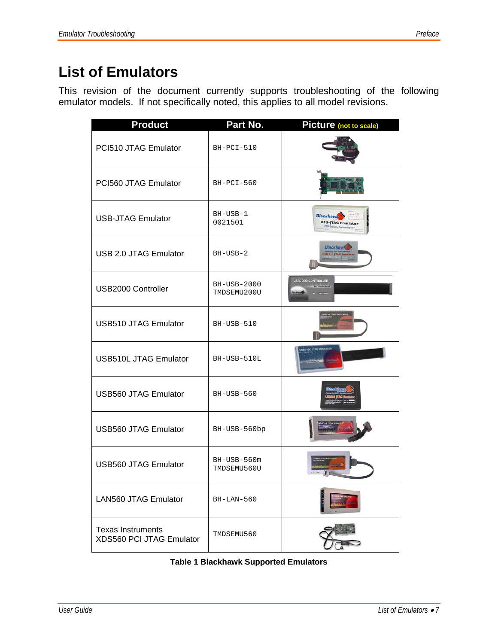This revision of the document currently supports troubleshooting of the following emulator models. If not specifically noted, this applies to all model revisions.

| <b>Product</b>                                       | Part No.                   | Picture (not to scale)                                                 |
|------------------------------------------------------|----------------------------|------------------------------------------------------------------------|
| PCI510 JTAG Emulator                                 | $BH-PCI-510$               |                                                                        |
| PCI560 JTAG Emulator                                 | $BH-PCI-560$               |                                                                        |
| <b>USB-JTAG Emulator</b>                             | BH-USB-1<br>0021501        | <b>Blackhawk</b><br><b>USB-JTAG Emulator</b><br>DSP Facelul<br>ng Tech |
| USB 2.0 JTAG Emulator                                | BH-USB-2                   | Blackhaw                                                               |
| USB2000 Controller                                   | BH-USB-2000<br>TMDSEMU200U | USB2000 CONTROLLER                                                     |
| <b>USB510 JTAG Emulator</b>                          | BH-USB-510                 | 8510 JTAG EMULAT                                                       |
| <b>USB510L JTAG Emulator</b>                         | BH-USB-510L                | <b>ISBUTDL JTAG EMILATO</b>                                            |
| <b>USB560 JTAG Emulator</b>                          | BH-USB-560                 |                                                                        |
| <b>USB560 JTAG Emulator</b>                          | BH-USB-560bp               |                                                                        |
| <b>USB560 JTAG Emulator</b>                          | BH-USB-560m<br>TMDSEMU560U | 60 JTAG B                                                              |
| <b>LAN560 JTAG Emulator</b>                          | $BH-LAN-560$               |                                                                        |
| <b>Texas Instruments</b><br>XDS560 PCI JTAG Emulator | TMDSEMU560                 |                                                                        |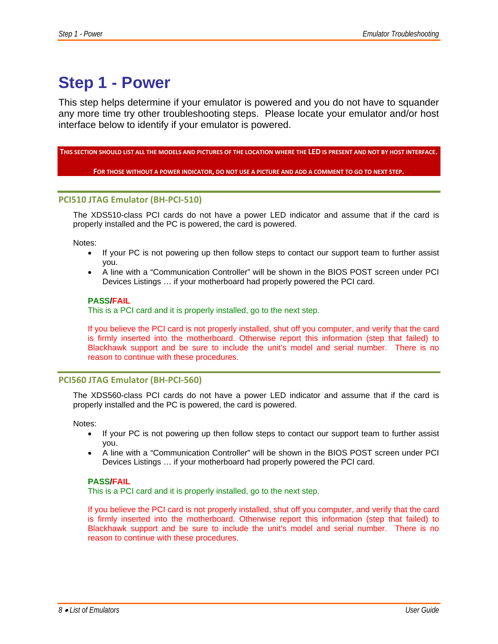## **Step 1 - Power**

This step helps determine if your emulator is powered and you do not have to squander any more time try other troubleshooting steps. Please locate your emulator and/or host interface below to identify if your emulator is powered.

THIS SECTION SHOULD LIST ALL THE MODELS AND PICTURES OF THE LOCATION WHERE THE LED IS PRESENT AND NOT BY HOST INTERFACE.

FOR THOSE WITHOUT A POWER INDICATOR, DO NOT USE A PICTURE AND ADD A COMMENT TO GO TO NEXT STEP.

#### **PCI510 JTAG Emulator (BH‐PCI‐510)**

The XDS510-class PCI cards do not have a power LED indicator and assume that if the card is properly installed and the PC is powered, the card is powered.

Notes:

- If your PC is not powering up then follow steps to contact our support team to further assist you.
- A line with a "Communication Controller" will be shown in the BIOS POST screen under PCI Devices Listings … if your motherboard had properly powered the PCI card.

#### **PASS/FAIL**

This is a PCI card and it is properly installed, go to the next step.

If you believe the PCI card is not properly installed, shut off you computer, and verify that the card is firmly inserted into the motherboard. Otherwise report this information (step that failed) to Blackhawk support and be sure to include the unit's model and serial number. There is no reason to continue with these procedures.

#### **PCI560 JTAG Emulator (BH‐PCI‐560)**

The XDS560-class PCI cards do not have a power LED indicator and assume that if the card is properly installed and the PC is powered, the card is powered.

Notes:

- If your PC is not powering up then follow steps to contact our support team to further assist you.
- A line with a "Communication Controller" will be shown in the BIOS POST screen under PCI Devices Listings … if your motherboard had properly powered the PCI card.

#### **PASS/FAIL**

This is a PCI card and it is properly installed, go to the next step.

If you believe the PCI card is not properly installed, shut off you computer, and verify that the card is firmly inserted into the motherboard. Otherwise report this information (step that failed) to Blackhawk support and be sure to include the unit's model and serial number. There is no reason to continue with these procedures.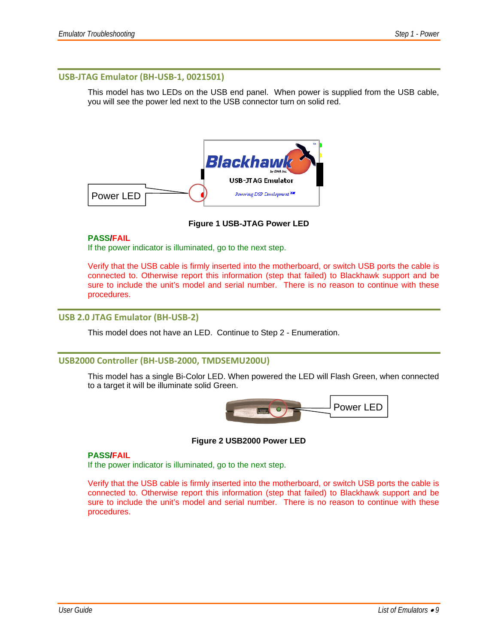#### **USB‐JTAG Emulator (BH‐USB‐1, 0021501)**

This model has two LEDs on the USB end panel. When power is supplied from the USB cable, you will see the power led next to the USB connector turn on solid red.



**Figure 1 USB-JTAG Power LED** 

#### **PASS/FAIL**

If the power indicator is illuminated, go to the next step.

Verify that the USB cable is firmly inserted into the motherboard, or switch USB ports the cable is connected to. Otherwise report this information (step that failed) to Blackhawk support and be sure to include the unit's model and serial number. There is no reason to continue with these procedures.

#### **USB 2.0 JTAG Emulator (BH‐USB‐2)**

This model does not have an LED. Continue to Step 2 - Enumeration.

#### **USB2000 Controller (BH‐USB‐2000, TMDSEMU200U)**

This model has a single Bi-Color LED. When powered the LED will Flash Green, when connected to a target it will be illuminate solid Green.



#### **Figure 2 USB2000 Power LED**

#### **PASS/FAIL**

If the power indicator is illuminated, go to the next step.

Verify that the USB cable is firmly inserted into the motherboard, or switch USB ports the cable is connected to. Otherwise report this information (step that failed) to Blackhawk support and be sure to include the unit's model and serial number. There is no reason to continue with these procedures.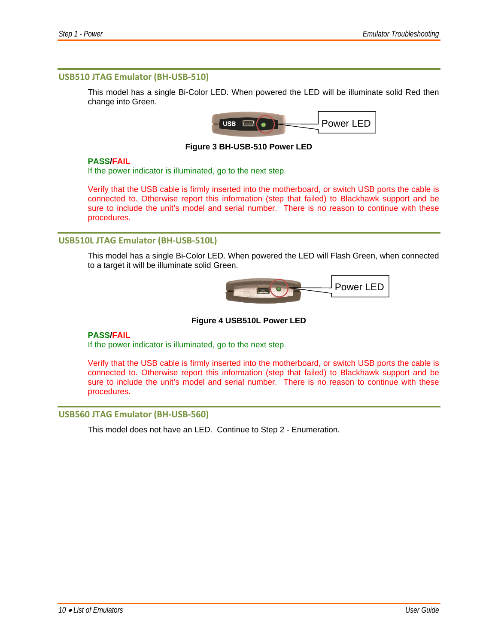#### **USB510 JTAG Emulator (BH‐USB‐510)**

This model has a single Bi-Color LED. When powered the LED will be illuminate solid Red then change into Green.



**Figure 3 BH-USB-510 Power LED** 

#### **PASS/FAIL**

If the power indicator is illuminated, go to the next step.

Verify that the USB cable is firmly inserted into the motherboard, or switch USB ports the cable is connected to. Otherwise report this information (step that failed) to Blackhawk support and be sure to include the unit's model and serial number. There is no reason to continue with these procedures.

#### **USB510L JTAG Emulator (BH‐USB‐510L)**

This model has a single Bi-Color LED. When powered the LED will Flash Green, when connected to a target it will be illuminate solid Green.



**Figure 4 USB510L Power LED** 

#### **PASS/FAIL**

If the power indicator is illuminated, go to the next step.

Verify that the USB cable is firmly inserted into the motherboard, or switch USB ports the cable is connected to. Otherwise report this information (step that failed) to Blackhawk support and be sure to include the unit's model and serial number. There is no reason to continue with these procedures.

#### **USB560 JTAG Emulator (BH‐USB‐560)**

This model does not have an LED. Continue to Step 2 - Enumeration.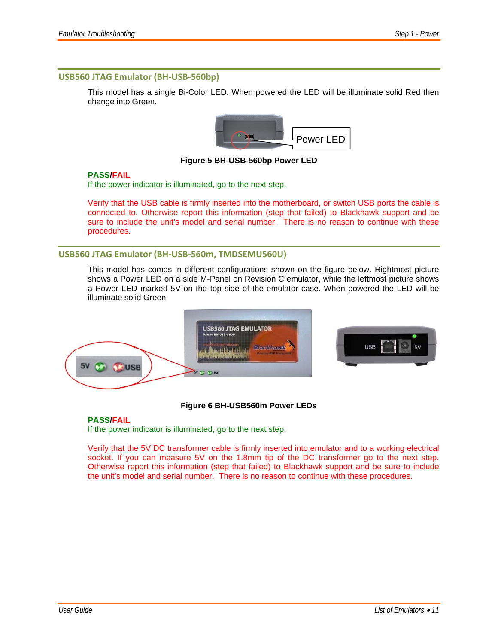#### **USB560 JTAG Emulator (BH‐USB‐560bp)**

This model has a single Bi-Color LED. When powered the LED will be illuminate solid Red then change into Green.



#### **Figure 5 BH-USB-560bp Power LED**

#### **PASS/FAIL**

If the power indicator is illuminated, go to the next step.

Verify that the USB cable is firmly inserted into the motherboard, or switch USB ports the cable is connected to. Otherwise report this information (step that failed) to Blackhawk support and be sure to include the unit's model and serial number. There is no reason to continue with these procedures.

#### **USB560 JTAG Emulator (BH‐USB‐560m, TMDSEMU560U)**

This model has comes in different configurations shown on the figure below. Rightmost picture shows a Power LED on a side M-Panel on Revision C emulator, while the leftmost picture shows a Power LED marked 5V on the top side of the emulator case. When powered the LED will be illuminate solid Green.



#### **Figure 6 BH-USB560m Power LEDs**

#### **PASS/FAIL**

If the power indicator is illuminated, go to the next step.

Verify that the 5V DC transformer cable is firmly inserted into emulator and to a working electrical socket. If you can measure 5V on the 1.8mm tip of the DC transformer go to the next step. Otherwise report this information (step that failed) to Blackhawk support and be sure to include the unit's model and serial number. There is no reason to continue with these procedures.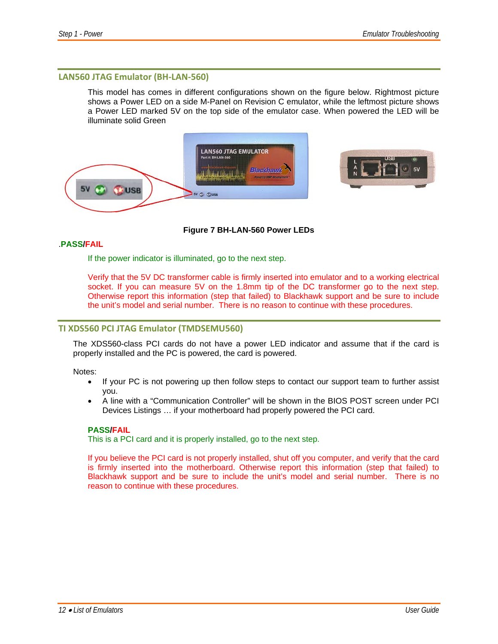#### **LAN560 JTAG Emulator (BH‐LAN‐560)**

This model has comes in different configurations shown on the figure below. Rightmost picture shows a Power LED on a side M-Panel on Revision C emulator, while the leftmost picture shows a Power LED marked 5V on the top side of the emulator case. When powered the LED will be illuminate solid Green



#### **Figure 7 BH-LAN-560 Power LEDs**

#### .**PASS/FAIL**

If the power indicator is illuminated, go to the next step.

Verify that the 5V DC transformer cable is firmly inserted into emulator and to a working electrical socket. If you can measure 5V on the 1.8mm tip of the DC transformer go to the next step. Otherwise report this information (step that failed) to Blackhawk support and be sure to include the unit's model and serial number. There is no reason to continue with these procedures.

#### **TI XDS560 PCI JTAG Emulator (TMDSEMU560)**

The XDS560-class PCI cards do not have a power LED indicator and assume that if the card is properly installed and the PC is powered, the card is powered.

Notes:

- If your PC is not powering up then follow steps to contact our support team to further assist you.
- A line with a "Communication Controller" will be shown in the BIOS POST screen under PCI Devices Listings … if your motherboard had properly powered the PCI card.

#### **PASS/FAIL**

This is a PCI card and it is properly installed, go to the next step.

If you believe the PCI card is not properly installed, shut off you computer, and verify that the card is firmly inserted into the motherboard. Otherwise report this information (step that failed) to Blackhawk support and be sure to include the unit's model and serial number. There is no reason to continue with these procedures.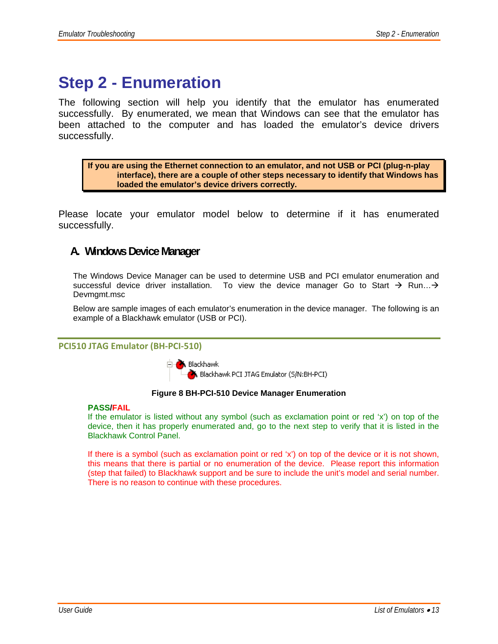## **Step 2 - Enumeration**

The following section will help you identify that the emulator has enumerated successfully. By enumerated, we mean that Windows can see that the emulator has been attached to the computer and has loaded the emulator's device drivers successfully.

**If you are using the Ethernet connection to an emulator, and not USB or PCI (plug-n-play interface), there are a couple of other steps necessary to identify that Windows has loaded the emulator's device drivers correctly.** 

Please locate your emulator model below to determine if it has enumerated successfully.

### **A. Windows Device Manager**

The Windows Device Manager can be used to determine USB and PCI emulator enumeration and successful device driver installation. To view the device manager Go to Start  $\rightarrow$  Run... $\rightarrow$ Devmgmt.msc

Below are sample images of each emulator's enumeration in the device manager. The following is an example of a Blackhawk emulator (USB or PCI).

#### **PCI510 JTAG Emulator (BH‐PCI‐510)**

**E** A Blackhawk Blackhawk PCI JTAG Emulator (S/N:BH-PCI)

#### **Figure 8 BH-PCI-510 Device Manager Enumeration**

#### **PASS/FAIL**

If the emulator is listed without any symbol (such as exclamation point or red 'x') on top of the device, then it has properly enumerated and, go to the next step to verify that it is listed in the Blackhawk Control Panel.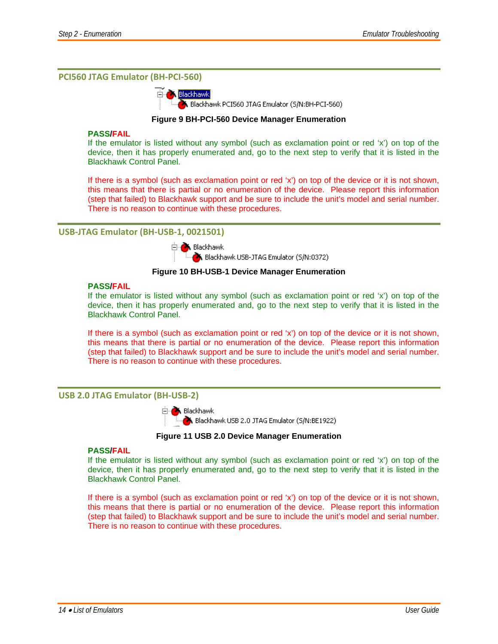#### **PCI560 JTAG Emulator (BH‐PCI‐560)**



#### **Figure 9 BH-PCI-560 Device Manager Enumeration**

#### **PASS/FAIL**

If the emulator is listed without any symbol (such as exclamation point or red 'x') on top of the device, then it has properly enumerated and, go to the next step to verify that it is listed in the Blackhawk Control Panel.

If there is a symbol (such as exclamation point or red 'x') on top of the device or it is not shown, this means that there is partial or no enumeration of the device. Please report this information (step that failed) to Blackhawk support and be sure to include the unit's model and serial number. There is no reason to continue with these procedures.

#### **USB‐JTAG Emulator (BH‐USB‐1, 0021501)**



Blackhawk USB-JTAG Emulator (S/N:0372)

#### **Figure 10 BH-USB-1 Device Manager Enumeration**

#### **PASS/FAIL**

If the emulator is listed without any symbol (such as exclamation point or red 'x') on top of the device, then it has properly enumerated and, go to the next step to verify that it is listed in the Blackhawk Control Panel.

If there is a symbol (such as exclamation point or red 'x') on top of the device or it is not shown, this means that there is partial or no enumeration of the device. Please report this information (step that failed) to Blackhawk support and be sure to include the unit's model and serial number. There is no reason to continue with these procedures.

#### **USB 2.0 JTAG Emulator (BH‐USB‐2)**



Blackhawk USB 2.0 JTAG Emulator (5/N:BE1922)

**Figure 11 USB 2.0 Device Manager Enumeration** 

#### **PASS/FAIL**

If the emulator is listed without any symbol (such as exclamation point or red 'x') on top of the device, then it has properly enumerated and, go to the next step to verify that it is listed in the Blackhawk Control Panel.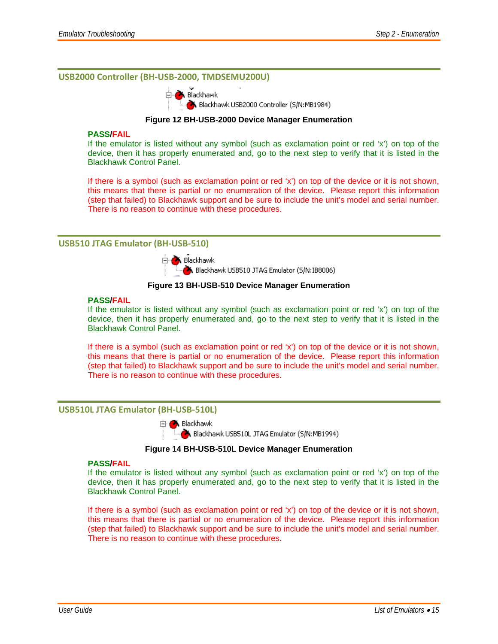#### **USB2000 Controller (BH‐USB‐2000, TMDSEMU200U)**



Blackhawk USB2000 Controller (S/N:MB1984)

#### **Figure 12 BH-USB-2000 Device Manager Enumeration**

#### **PASS/FAIL**

If the emulator is listed without any symbol (such as exclamation point or red 'x') on top of the device, then it has properly enumerated and, go to the next step to verify that it is listed in the Blackhawk Control Panel.

If there is a symbol (such as exclamation point or red 'x') on top of the device or it is not shown, this means that there is partial or no enumeration of the device. Please report this information (step that failed) to Blackhawk support and be sure to include the unit's model and serial number. There is no reason to continue with these procedures.

#### **USB510 JTAG Emulator (BH‐USB‐510)**



Blackhawk USB510 JTAG Emulator (5/N:IB8006)

#### **Figure 13 BH-USB-510 Device Manager Enumeration**

#### **PASS/FAIL**

If the emulator is listed without any symbol (such as exclamation point or red 'x') on top of the device, then it has properly enumerated and, go to the next step to verify that it is listed in the Blackhawk Control Panel.

If there is a symbol (such as exclamation point or red 'x') on top of the device or it is not shown, this means that there is partial or no enumeration of the device. Please report this information (step that failed) to Blackhawk support and be sure to include the unit's model and serial number. There is no reason to continue with these procedures.

#### **USB510L JTAG Emulator (BH‐USB‐510L)**



Blackhawk USB510L JTAG Emulator (S/N:MB1994)

#### **Figure 14 BH-USB-510L Device Manager Enumeration**

#### **PASS/FAIL**

If the emulator is listed without any symbol (such as exclamation point or red 'x') on top of the device, then it has properly enumerated and, go to the next step to verify that it is listed in the Blackhawk Control Panel.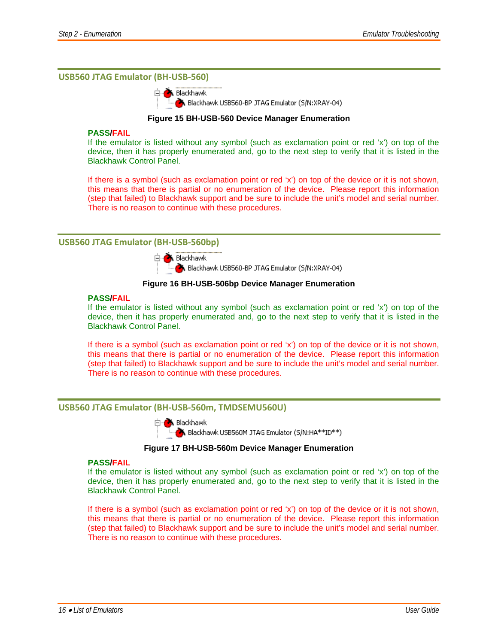#### **USB560 JTAG Emulator (BH‐USB‐560)**

**X** Blackhawk Blackhawk USB560-BP JTAG Emulator (S/N:XRAY-04)

#### **Figure 15 BH-USB-560 Device Manager Enumeration**

#### **PASS/FAIL**

If the emulator is listed without any symbol (such as exclamation point or red 'x') on top of the device, then it has properly enumerated and, go to the next step to verify that it is listed in the Blackhawk Control Panel.

If there is a symbol (such as exclamation point or red 'x') on top of the device or it is not shown, this means that there is partial or no enumeration of the device. Please report this information (step that failed) to Blackhawk support and be sure to include the unit's model and serial number. There is no reason to continue with these procedures.

#### **USB560 JTAG Emulator (BH‐USB‐560bp)**

白**入** Blackhawk

Blackhawk USB560-BP JTAG Emulator (5/N:XRAY-04)

#### **Figure 16 BH-USB-506bp Device Manager Enumeration**

#### **PASS/FAIL**

If the emulator is listed without any symbol (such as exclamation point or red 'x') on top of the device, then it has properly enumerated and, go to the next step to verify that it is listed in the Blackhawk Control Panel.

If there is a symbol (such as exclamation point or red 'x') on top of the device or it is not shown, this means that there is partial or no enumeration of the device. Please report this information (step that failed) to Blackhawk support and be sure to include the unit's model and serial number. There is no reason to continue with these procedures.

#### **USB560 JTAG Emulator (BH‐USB‐560m, TMDSEMU560U)**



Blackhawk USB560M JTAG Emulator (5/N:HA\*\*ID\*\*)

#### **Figure 17 BH-USB-560m Device Manager Enumeration**

#### **PASS/FAIL**

If the emulator is listed without any symbol (such as exclamation point or red 'x') on top of the device, then it has properly enumerated and, go to the next step to verify that it is listed in the Blackhawk Control Panel.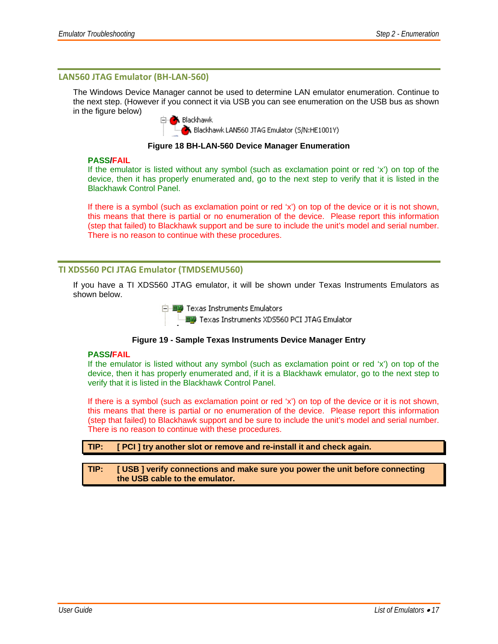#### **LAN560 JTAG Emulator (BH‐LAN‐560)**

The Windows Device Manager cannot be used to determine LAN emulator enumeration. Continue to the next step. (However if you connect it via USB you can see enumeration on the USB bus as shown in the figure below)

**X** Blackhawk

Blackhawk LAN560 JTAG Emulator (S/N:HE1001Y)

#### **Figure 18 BH-LAN-560 Device Manager Enumeration**

#### **PASS/FAIL**

If the emulator is listed without any symbol (such as exclamation point or red 'x') on top of the device, then it has properly enumerated and, go to the next step to verify that it is listed in the Blackhawk Control Panel.

If there is a symbol (such as exclamation point or red 'x') on top of the device or it is not shown, this means that there is partial or no enumeration of the device. Please report this information (step that failed) to Blackhawk support and be sure to include the unit's model and serial number. There is no reason to continue with these procedures.

#### **TI XDS560 PCI JTAG Emulator (TMDSEMU560)**

If you have a TI XDS560 JTAG emulator, it will be shown under Texas Instruments Emulators as shown below.

白 - 田野 Texas Instruments Emulators

:..... 田野 Texas Instruments XD5560 PCI JTAG Emulator

#### **Figure 19 - Sample Texas Instruments Device Manager Entry**

#### **PASS/FAIL**

If the emulator is listed without any symbol (such as exclamation point or red 'x') on top of the device, then it has properly enumerated and, if it is a Blackhawk emulator, go to the next step to verify that it is listed in the Blackhawk Control Panel.

If there is a symbol (such as exclamation point or red 'x') on top of the device or it is not shown, this means that there is partial or no enumeration of the device. Please report this information (step that failed) to Blackhawk support and be sure to include the unit's model and serial number. There is no reason to continue with these procedures.

#### **TIP: [ PCI ] try another slot or remove and re-install it and check again.**

#### **TIP: [ USB ] verify connections and make sure you power the unit before connecting the USB cable to the emulator.**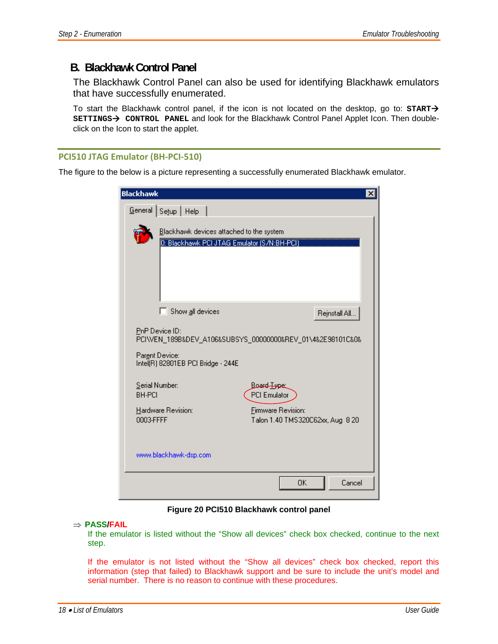### **B. Blackhawk Control Panel**

The Blackhawk Control Panel can also be used for identifying Blackhawk emulators that have successfully enumerated.

To start the Blackhawk control panel, if the icon is not located on the desktop, go to:  $\text{START} \rightarrow$ SETTINGS→ CONTROL PANEL and look for the Blackhawk Control Panel Applet Icon. Then doubleclick on the Icon to start the applet.

#### **PCI510 JTAG Emulator (BH‐PCI‐510)**

The figure to the below is a picture representing a successfully enumerated Blackhawk emulator.

| Blackhawk                                                                                                                            |
|--------------------------------------------------------------------------------------------------------------------------------------|
| Setup   Help<br>General                                                                                                              |
| Blackhawk devices attached to the system<br>0: Blackhawk PCI JTAG Emulator (S/N:BH-PCI)                                              |
| Show all devices<br>Rejnstall All                                                                                                    |
| PnP Device ID:<br>PCI\VEN_189B&DEV_A106&SUBSYS_00000000&REV_01\4&2E98101C&0&<br>Parent Device:<br>Intel(R) 82801EB PCI Bridge - 244E |
| Serial Number:<br>Board Type<br><b>PCI Emulator</b><br><b>BH-PCI</b>                                                                 |
| Hardware Revision:<br>Firmware Revision:<br>0003-FFFF<br>Talon 1.40 TMS320C62xx, Aug 8 20                                            |
| www.blackhawk-dsp.com                                                                                                                |
| OΚ<br>Cancel                                                                                                                         |

**Figure 20 PCI510 Blackhawk control panel** 

#### ⇒ **PASS/FAIL**

If the emulator is listed without the "Show all devices" check box checked, continue to the next step.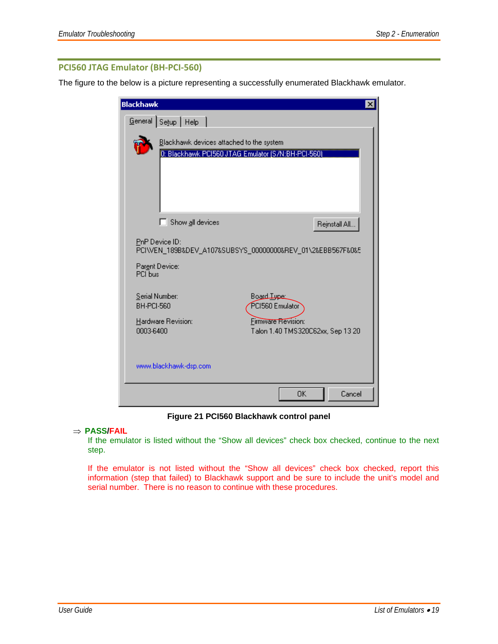### **PCI560 JTAG Emulator (BH‐PCI‐560)**

The figure to the below is a picture representing a successfully enumerated Blackhawk emulator.

| <b>Blackhawk</b>                                                                                          |                                                         |
|-----------------------------------------------------------------------------------------------------------|---------------------------------------------------------|
| General Setup   Help                                                                                      |                                                         |
| Blackhawk devices attached to the system<br>0: Blackhawk PCI560 JTAG Emulator (S/N:BH-PCI-560)            |                                                         |
| Show all devices<br>П                                                                                     | Rejnstall All                                           |
| PnP Device ID:<br>PCI\VEN_189B&DEV_A107&SUBSYS_00000000&REV_01\2&EBB567F&0&5<br>Parent Device:<br>PCI hus |                                                         |
| Serial Number:<br>BH-PCI-560                                                                              | Board Tupe:<br>PCI560 Emulator                          |
| Hardware Revision:<br>0003-6400                                                                           | Firmware Revision:<br>Talon 1.40 TMS320C62xx, Sep 13 20 |
| www.blackhawk-dsp.com                                                                                     |                                                         |
|                                                                                                           | Cancel<br>ΩK                                            |

**Figure 21 PCI560 Blackhawk control panel** 

#### ⇒ **PASS/FAIL**

If the emulator is listed without the "Show all devices" check box checked, continue to the next step.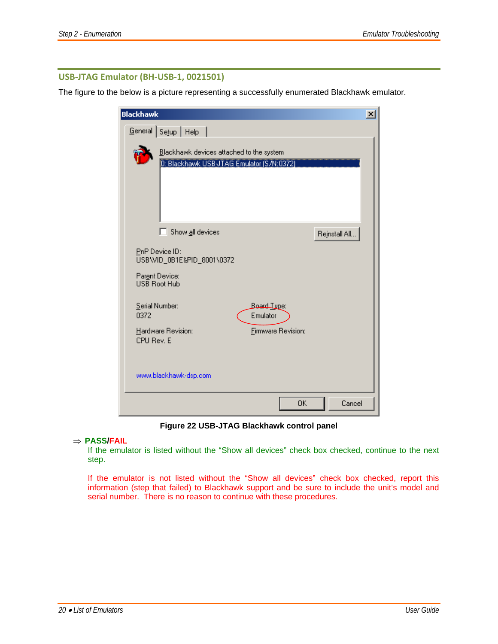#### **USB‐JTAG Emulator (BH‐USB‐1, 0021501)**

The figure to the below is a picture representing a successfully enumerated Blackhawk emulator.

| <b>Blackhawk</b>                                                                      | $\vert x \vert$ |
|---------------------------------------------------------------------------------------|-----------------|
| Setup   Help<br>$G$ eneral                                                            |                 |
| Blackhawk devices attached to the system<br>0: Blackhawk USB-JTAG Emulator (S/N:0372) |                 |
| Show all devices<br>П                                                                 | Rejnstall All   |
| PnP Device ID:<br>USB\VID_0B1E&PID_8001\0372<br>Parent Device:<br><b>USB Root Hub</b> |                 |
| Serial Number:<br>Board Type:<br>0372<br>Emulator                                     |                 |
| Hardware Revision:<br><b>Firmware Revision:</b><br>CPU Rev. E                         |                 |
| www.blackhawk-dsp.com                                                                 |                 |
| OΚ                                                                                    | Cancel          |

**Figure 22 USB-JTAG Blackhawk control panel** 

#### ⇒ **PASS/FAIL**

If the emulator is listed without the "Show all devices" check box checked, continue to the next step.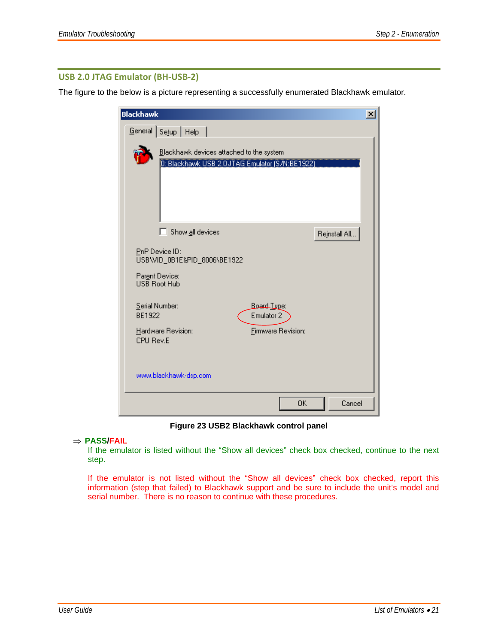#### **USB 2.0 JTAG Emulator (BH‐USB‐2)**

The figure to the below is a picture representing a successfully enumerated Blackhawk emulator.

| <b>Blackhawk</b>                                                                            | $\vert x \vert$ |
|---------------------------------------------------------------------------------------------|-----------------|
| General Setup   Help                                                                        |                 |
| Blackhawk devices attached to the system<br>D: Blackhawk USB 2.0 JTAG Emulator (S/N:BE1922) |                 |
| п<br>Show all devices                                                                       | Rejnstall All   |
| PnP Device ID:<br>USB\VID_0B1E&PID_8006\BE1922<br>Parent Device:<br>USB Root Hub            |                 |
| Serial Number:<br><b>Board Tupe:</b><br>BE1922<br>Emulator <sub>2</sub>                     |                 |
| Hardware Revision:<br><b>Firmware Revision:</b><br>CPU Rev.E                                |                 |
| www.blackhawk-dsp.com                                                                       |                 |
| OΚ                                                                                          | Cancel          |

**Figure 23 USB2 Blackhawk control panel** 

#### ⇒ **PASS/FAIL**

If the emulator is listed without the "Show all devices" check box checked, continue to the next step.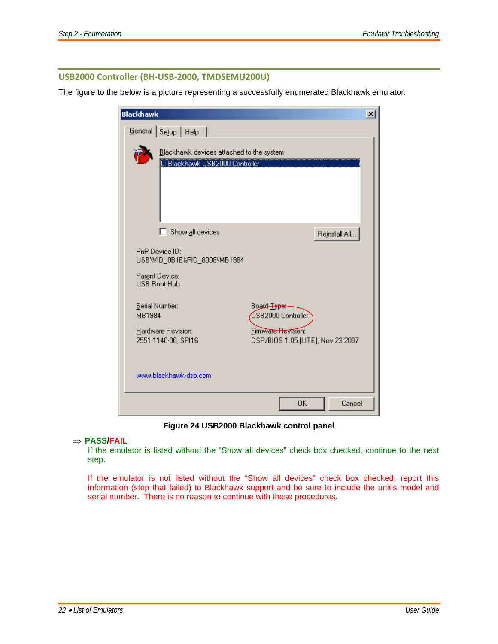#### **USB2000 Controller (BH‐USB‐2000, TMDSEMU200U)**

The figure to the below is a picture representing a successfully enumerated Blackhawk emulator.

| <b>Blackhawk</b>                                        |                                                                             |                                                         |               | $\vert x \vert$ |
|---------------------------------------------------------|-----------------------------------------------------------------------------|---------------------------------------------------------|---------------|-----------------|
| General                                                 | Setup   Help                                                                |                                                         |               |                 |
|                                                         | Blackhawk devices attached to the system<br>0: Blackhawk USB2000 Controller |                                                         |               |                 |
| n                                                       | Show all devices                                                            |                                                         | Rejnstall All |                 |
| PnP Device ID:<br>Parent Device:<br><b>USB Root Hub</b> | USB\VID_0B1E&PID_8008\MB1984                                                |                                                         |               |                 |
| Serial Number:<br>MB1984                                |                                                                             | Board Type:<br>USB2000 Controller                       |               |                 |
| Hardware Revision:<br>2551-1140-00, SPI16               |                                                                             | Firmware Revision:<br>DSP/BIOS 1.05 [LITE], Nov 23 2007 |               |                 |
| www.blackhawk-dsp.com                                   |                                                                             |                                                         |               |                 |
|                                                         |                                                                             | ΟK                                                      | Cancel        |                 |

**Figure 24 USB2000 Blackhawk control panel** 

#### ⇒ **PASS/FAIL**

If the emulator is listed without the "Show all devices" check box checked, continue to the next step.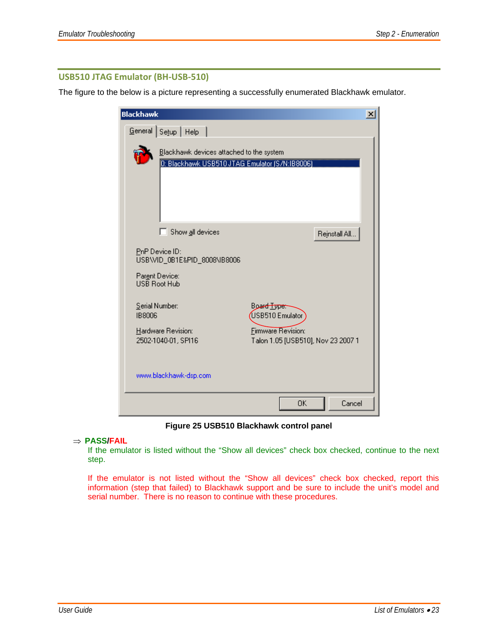#### **USB510 JTAG Emulator (BH‐USB‐510)**

The figure to the below is a picture representing a successfully enumerated Blackhawk emulator.

| <b>Blackhawk</b>                                                                           |                                                                 | $\vert x \vert$ |
|--------------------------------------------------------------------------------------------|-----------------------------------------------------------------|-----------------|
| Setup   Help<br>General                                                                    |                                                                 |                 |
| Blackhawk devices attached to the system<br>0: Blackhawk USB510 JTAG Emulator (S/N:IB8006) |                                                                 |                 |
| Show all devices<br>ПI                                                                     | Rejnstall All                                                   |                 |
| PnP Device ID:<br>USB\VID_0B1E&PID_8008\IB8006<br>Parent Device:<br>USB Root Hub           |                                                                 |                 |
| Serial Number:<br><b>IB8006</b>                                                            | Board Type:<br>USB510 Emulator                                  |                 |
| Hardware Revision:<br>2502-1040-01, SPI16                                                  | <b>Firmware Revision:</b><br>Talon 1.05 [USB510], Nov 23 2007 1 |                 |
| www.blackhawk-dsp.com                                                                      |                                                                 |                 |
|                                                                                            | 0K<br>Cancel                                                    |                 |

**Figure 25 USB510 Blackhawk control panel** 

#### ⇒ **PASS/FAIL**

If the emulator is listed without the "Show all devices" check box checked, continue to the next step.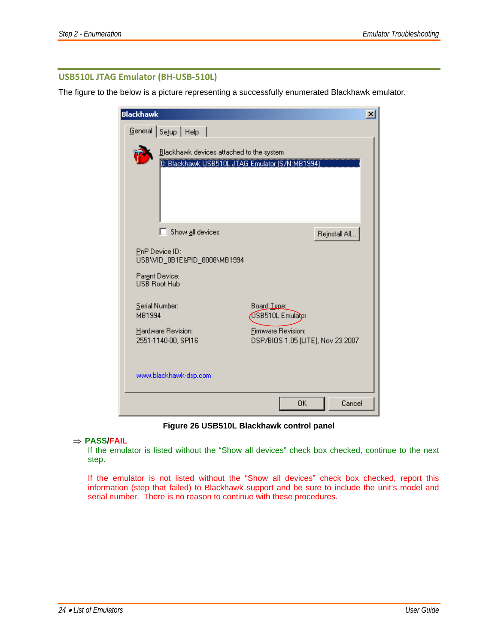#### **USB510L JTAG Emulator (BH‐USB‐510L)**

The figure to the below is a picture representing a successfully enumerated Blackhawk emulator.

| <b>Blackhawk</b>                                                                            |                                                         | $\vert x \vert$ |
|---------------------------------------------------------------------------------------------|---------------------------------------------------------|-----------------|
| Setup   Help<br>General                                                                     |                                                         |                 |
| Blackhawk devices attached to the system<br>0: Blackhawk USB510L JTAG Emulator (S/N:MB1994) |                                                         |                 |
| Show all devices<br>n                                                                       | Rejnstall All                                           |                 |
| PnP Device ID:<br>USB\VID_0B1E&PID_8008\MB1994<br>Parent Device:<br><b>HSB Boot Hub</b>     |                                                         |                 |
| Serial Number:<br>MB1994                                                                    | Board Type:<br>USB510L Emulator                         |                 |
| Hardware Revision:<br>2551-1140-00, SPI16                                                   | Firmware Revision:<br>DSP/BIOS 1.05 [LITE], Nov 23 2007 |                 |
| www.blackhawk-dsp.com                                                                       |                                                         |                 |
|                                                                                             | OK<br>Cancel                                            |                 |

**Figure 26 USB510L Blackhawk control panel** 

#### ⇒ **PASS/FAIL**

If the emulator is listed without the "Show all devices" check box checked, continue to the next step.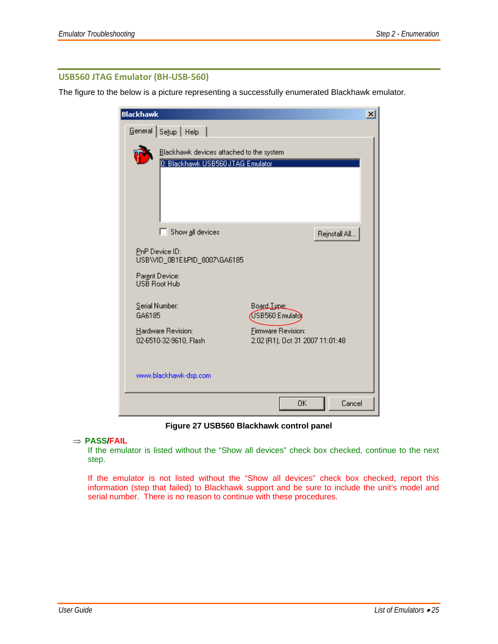#### **USB560 JTAG Emulator (BH‐USB‐560)**

The figure to the below is a picture representing a successfully enumerated Blackhawk emulator.

| <b>Blackhawk</b>                                                                        | $\vert x \vert$                                              |
|-----------------------------------------------------------------------------------------|--------------------------------------------------------------|
| Setup   Help<br>General                                                                 |                                                              |
| Blackhawk devices attached to the system<br>D: Blackhawk USB560 JTAG Emulator           |                                                              |
| $\Box$ Show all devices                                                                 | Rejnstall All                                                |
| PnP Device ID:<br>USB\VID_0B1E&PID_8007\GA6185<br>Parent Device:<br><b>HSB Boot Hub</b> |                                                              |
| Serial Number:<br>GA6185                                                                | Board Tupe:<br>USB560 Emulator                               |
| Hardware Revision:<br>02-6510-32-9610, Flash                                            | <b>Firmware Revision:</b><br>2.02 (R1), Oct 31 2007 11:01:48 |
| www.blackhawk-dsp.com                                                                   |                                                              |
|                                                                                         | ΟK<br>Cancel                                                 |

**Figure 27 USB560 Blackhawk control panel** 

#### ⇒ **PASS/FAIL**

If the emulator is listed without the "Show all devices" check box checked, continue to the next step.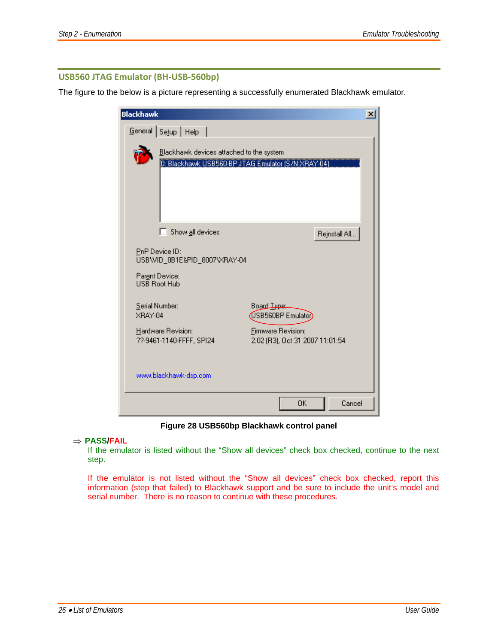#### **USB560 JTAG Emulator (BH‐USB‐560bp)**

The figure to the below is a picture representing a successfully enumerated Blackhawk emulator.



**Figure 28 USB560bp Blackhawk control panel** 

#### ⇒ **PASS/FAIL**

If the emulator is listed without the "Show all devices" check box checked, continue to the next step.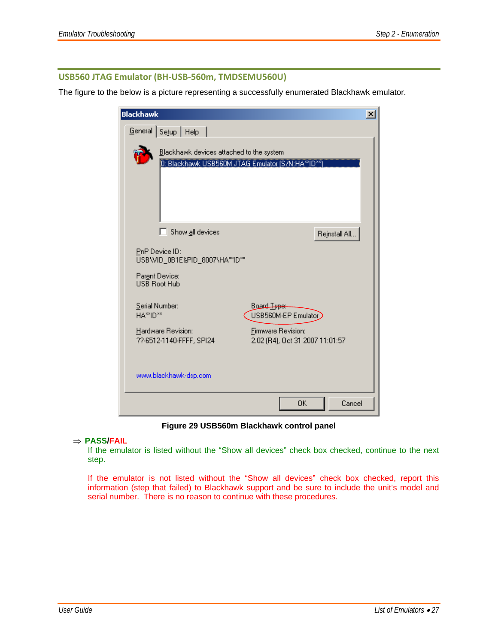#### **USB560 JTAG Emulator (BH‐USB‐560m, TMDSEMU560U)**

The figure to the below is a picture representing a successfully enumerated Blackhawk emulator.

| <b>Blackhawk</b> |                                                                                           |                                                       |               | $\vert x \vert$ |
|------------------|-------------------------------------------------------------------------------------------|-------------------------------------------------------|---------------|-----------------|
| $G$ eneral       | Setup   Help                                                                              |                                                       |               |                 |
|                  | Blackhawk devices attached to the system                                                  | 0: Blackhawk USB560M JTAG Emulator (S/N:HA**ID**      |               |                 |
|                  | Show all devices                                                                          |                                                       | Rejnstall All |                 |
|                  | PnP Device ID:<br>USB\VID_0B1E&PID_8007\HA**ID**<br>Parent Device:<br><b>USB Root Hub</b> |                                                       |               |                 |
| HA**ID**         | Serial Number:                                                                            | Board <del>Type:</del><br>USB560M-EP Emulator         |               |                 |
|                  | Hardware Revision:<br>??-6512-1140-FFFF, SPI24                                            | Firmware Revision:<br>2.02 (R4), Oct 31 2007 11:01:57 |               |                 |
|                  | www.blackhawk-dsp.com                                                                     |                                                       |               |                 |
|                  |                                                                                           | 0K                                                    | Cancel        |                 |

**Figure 29 USB560m Blackhawk control panel** 

#### ⇒ **PASS/FAIL**

If the emulator is listed without the "Show all devices" check box checked, continue to the next step.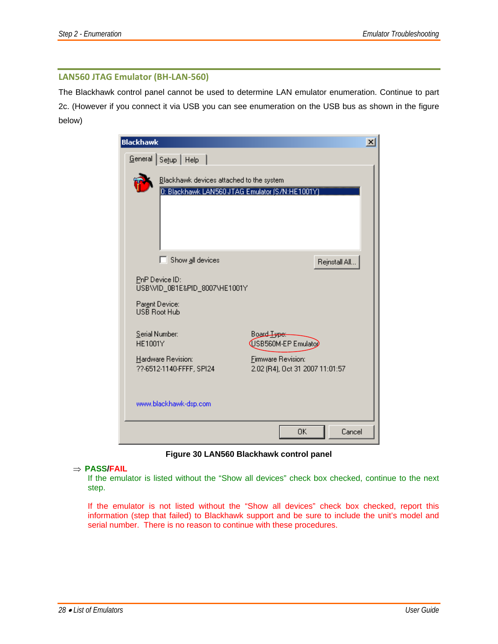#### **LAN560 JTAG Emulator (BH‐LAN‐560)**

The Blackhawk control panel cannot be used to determine LAN emulator enumeration. Continue to part 2c. (However if you connect it via USB you can see enumeration on the USB bus as shown in the figure below)

| <b>Blackhawk</b> |                                                                                            |                                                              |               | $\vert x \vert$ |
|------------------|--------------------------------------------------------------------------------------------|--------------------------------------------------------------|---------------|-----------------|
|                  | General Setup   Help                                                                       |                                                              |               |                 |
|                  | Blackhawk devices attached to the system<br>0: Blackhawk LAN560 JTAG Emulator (S/N:HE1001Y |                                                              |               |                 |
|                  | $\Box$ Show all devices                                                                    |                                                              | Rejnstall All |                 |
|                  | PnP Device ID:<br>USB\VID_0B1E&PID_8007\HE1001Y<br>Parent Device:<br>USB Root Hub          |                                                              |               |                 |
| HE1001Y          | Serial Number:                                                                             | Board Lype:<br>USB560M-EP Emulatop                           |               |                 |
|                  | Hardware Revision:<br>??-6512-1140-FFFF, SPI24                                             | <b>Firmware Revision:</b><br>2.02 (R4), Oct 31 2007 11:01:57 |               |                 |
|                  | www.blackhawk-dsp.com                                                                      |                                                              |               |                 |
|                  |                                                                                            | 0K                                                           | Cancel        |                 |

**Figure 30 LAN560 Blackhawk control panel** 

#### ⇒ **PASS/FAIL**

If the emulator is listed without the "Show all devices" check box checked, continue to the next step.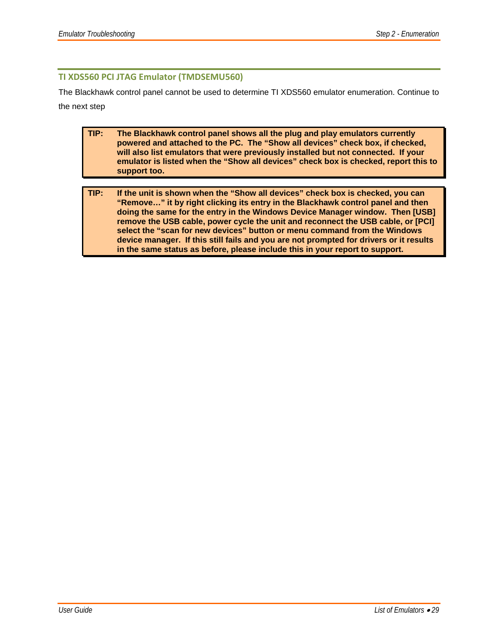#### **TI XDS560 PCI JTAG Emulator (TMDSEMU560)**

The Blackhawk control panel cannot be used to determine TI XDS560 emulator enumeration. Continue to the next step

- **TIP: The Blackhawk control panel shows all the plug and play emulators currently powered and attached to the PC. The "Show all devices" check box, if checked, will also list emulators that were previously installed but not connected. If your emulator is listed when the "Show all devices" check box is checked, report this to support too.**
- **TIP: If the unit is shown when the "Show all devices" check box is checked, you can "Remove…" it by right clicking its entry in the Blackhawk control panel and then doing the same for the entry in the Windows Device Manager window. Then [USB] remove the USB cable, power cycle the unit and reconnect the USB cable, or [PCI] select the "scan for new devices" button or menu command from the Windows device manager. If this still fails and you are not prompted for drivers or it results in the same status as before, please include this in your report to support.**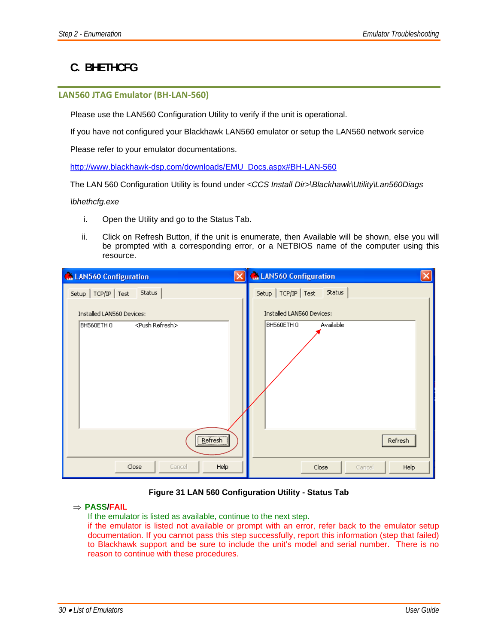## **C. BHETHCFG**

#### **LAN560 JTAG Emulator (BH‐LAN‐560)**

Please use the LAN560 Configuration Utility to verify if the unit is operational.

If you have not configured your Blackhawk LAN560 emulator or setup the LAN560 network service

Please refer to your emulator documentations.

http://www.blackhawk-dsp.com/downloads/EMU\_Docs.aspx#BH-LAN-560

The LAN 560 Configuration Utility is found under *<CCS Install Dir>\Blackhawk\Utility\Lan560Diags* 

#### *\bhethcfg.exe*

- i. Open the Utility and go to the Status Tab.
- ii. Click on Refresh Button, if the unit is enumerate, then Available will be shown, else you will be prompted with a corresponding error, or a NETBIOS name of the computer using this resource.

| ĺχ                        | <b>Configuration</b>      |
|---------------------------|---------------------------|
| <b>Configuration</b>      | $\vert x \vert$           |
| Status                    | Status                    |
| $Setup$ $TCP/IP$ Test     | $Setup$ $TCP/IP$ Test     |
| Installed LAN560 Devices: | Installed LAN560 Devices: |
| <push refresh=""></push>  | Available                 |
| BH560ETH 0                | BH560ETH 0                |
| Refresh                   | Refresh                   |
| Close                     | Close                     |
| Help                      | Help                      |
| Cancel                    | Cancel                    |

#### **Figure 31 LAN 560 Configuration Utility - Status Tab**

#### ⇒ **PASS/FAIL**

If the emulator is listed as available, continue to the next step.

if the emulator is listed not available or prompt with an error, refer back to the emulator setup documentation. If you cannot pass this step successfully, report this information (step that failed) to Blackhawk support and be sure to include the unit's model and serial number. There is no reason to continue with these procedures.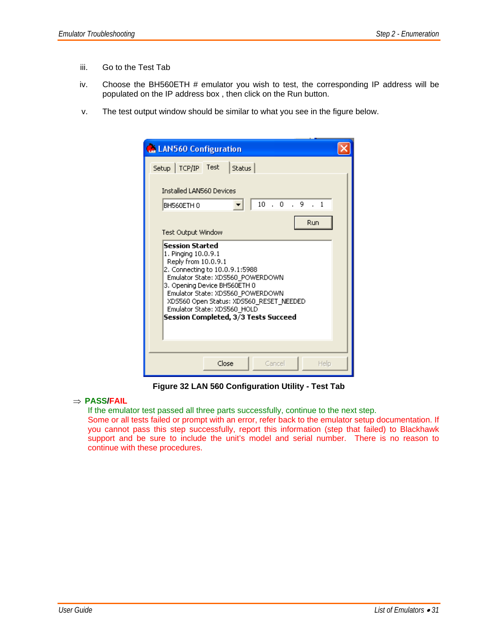- iii. Go to the Test Tab
- iv. Choose the BH560ETH # emulator you wish to test, the corresponding IP address will be populated on the IP address box , then click on the Run button.
- v. The test output window should be similar to what you see in the figure below.

| <b>LAN560 Configuration</b>                                                                                                                                                                                                                                                                                                                            |  |
|--------------------------------------------------------------------------------------------------------------------------------------------------------------------------------------------------------------------------------------------------------------------------------------------------------------------------------------------------------|--|
| Setup TCP/IP Test<br>Status<br><b>Installed LAN560 Devices</b><br>.0.9<br>10<br>$\cdot$ 1<br>BH560ETH 0<br>Run<br>Test Output Window<br><b>Session Started</b><br>1. Pinging 10.0.9.1<br>Reply from 10.0.9.1<br>2. Connecting to 10.0.9.1:5988<br>Emulator State: XDS560_POWERDOWN<br>3. Opening Device BH560ETH 0<br>Emulator State: XDS560 POWERDOWN |  |
| XDS560 Open Status: XDS560 RESET NEEDED<br>Emulator State: XDS560 HOLD<br>Session Completed, 3/3 Tests Succeed                                                                                                                                                                                                                                         |  |
| Close<br>Cancel<br>Help                                                                                                                                                                                                                                                                                                                                |  |

**Figure 32 LAN 560 Configuration Utility - Test Tab** 

#### ⇒ **PASS/FAIL**

If the emulator test passed all three parts successfully, continue to the next step.

Some or all tests failed or prompt with an error, refer back to the emulator setup documentation. If you cannot pass this step successfully, report this information (step that failed) to Blackhawk support and be sure to include the unit's model and serial number. There is no reason to continue with these procedures.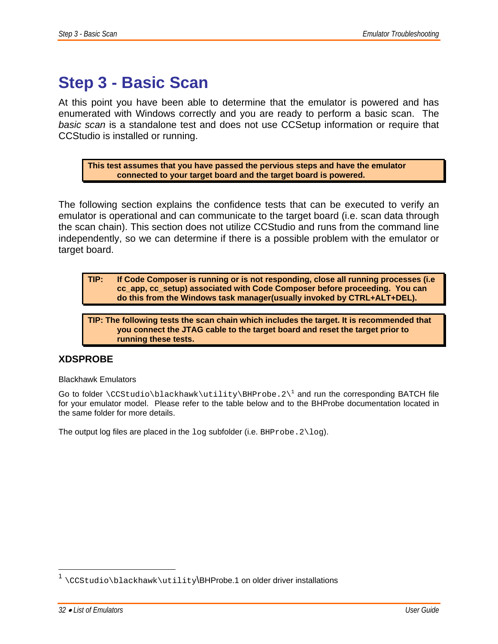## **Step 3 - Basic Scan**

At this point you have been able to determine that the emulator is powered and has enumerated with Windows correctly and you are ready to perform a basic scan. The *basic scan* is a standalone test and does not use CCSetup information or require that CCStudio is installed or running.

**This test assumes that you have passed the pervious steps and have the emulator connected to your target board and the target board is powered.** 

The following section explains the confidence tests that can be executed to verify an emulator is operational and can communicate to the target board (i.e. scan data through the scan chain). This section does not utilize CCStudio and runs from the command line independently, so we can determine if there is a possible problem with the emulator or target board.

**TIP: If Code Composer is running or is not responding, close all running processes (i.e cc\_app, cc\_setup) associated with Code Composer before proceeding. You can do this from the Windows task manager(usually invoked by CTRL+ALT+DEL).**

**TIP: The following tests the scan chain which includes the target. It is recommended that you connect the JTAG cable to the target board and reset the target prior to running these tests.** 

### **XDSPROBE**

Blackhawk Emulators

Go to folder \CCStudio\blackhawk\utility\BHProbe.2\<sup>1</sup> and run the corresponding BATCH file for your emulator model. Please refer to the table below and to the BHProbe documentation located in the same folder for more details.

The output log files are placed in the  $log$  subfolder (i.e. BHProbe.  $2\log$ ).

 $\overline{a}$ 

 $1 \setminus$ CCStudio $\backslash$ blackhawk $\setminus$ utility $\setminus$ BHProbe.1 on older driver installations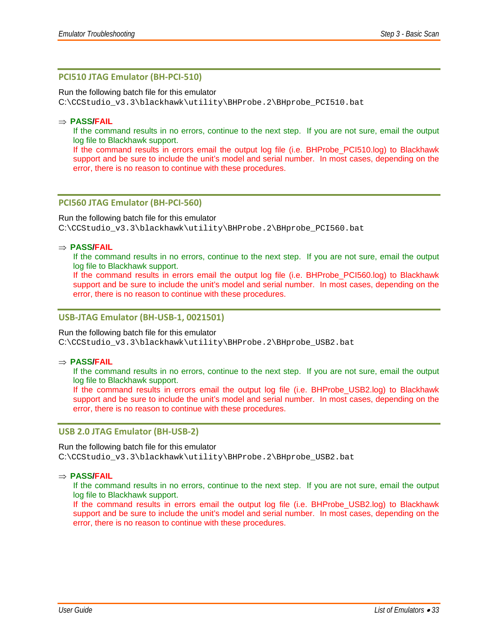#### **PCI510 JTAG Emulator (BH‐PCI‐510)**

Run the following batch file for this emulator

C:\CCStudio\_v3.3\blackhawk\utility\BHProbe.2\BHprobe\_PCI510.bat

#### ⇒ **PASS/FAIL**

If the command results in no errors, continue to the next step. If you are not sure, email the output log file to Blackhawk support.

If the command results in errors email the output log file (i.e. BHProbe\_PCI510.log) to Blackhawk support and be sure to include the unit's model and serial number. In most cases, depending on the error, there is no reason to continue with these procedures.

#### **PCI560 JTAG Emulator (BH‐PCI‐560)**

#### Run the following batch file for this emulator

C:\CCStudio\_v3.3\blackhawk\utility\BHProbe.2\BHprobe\_PCI560.bat

#### ⇒ **PASS/FAIL**

If the command results in no errors, continue to the next step. If you are not sure, email the output log file to Blackhawk support.

If the command results in errors email the output log file (i.e. BHProbe\_PCI560.log) to Blackhawk support and be sure to include the unit's model and serial number. In most cases, depending on the error, there is no reason to continue with these procedures.

#### **USB‐JTAG Emulator (BH‐USB‐1, 0021501)**

#### Run the following batch file for this emulator

C:\CCStudio\_v3.3\blackhawk\utility\BHProbe.2\BHprobe\_USB2.bat

#### ⇒ **PASS/FAIL**

If the command results in no errors, continue to the next step. If you are not sure, email the output log file to Blackhawk support.

If the command results in errors email the output log file (i.e. BHProbe USB2.log) to Blackhawk support and be sure to include the unit's model and serial number. In most cases, depending on the error, there is no reason to continue with these procedures.

#### **USB 2.0 JTAG Emulator (BH‐USB‐2)**

#### Run the following batch file for this emulator C:\CCStudio\_v3.3\blackhawk\utility\BHProbe.2\BHprobe\_USB2.bat

#### ⇒ **PASS/FAIL**

If the command results in no errors, continue to the next step. If you are not sure, email the output log file to Blackhawk support.

If the command results in errors email the output log file (i.e. BHProbe\_USB2.log) to Blackhawk support and be sure to include the unit's model and serial number. In most cases, depending on the error, there is no reason to continue with these procedures.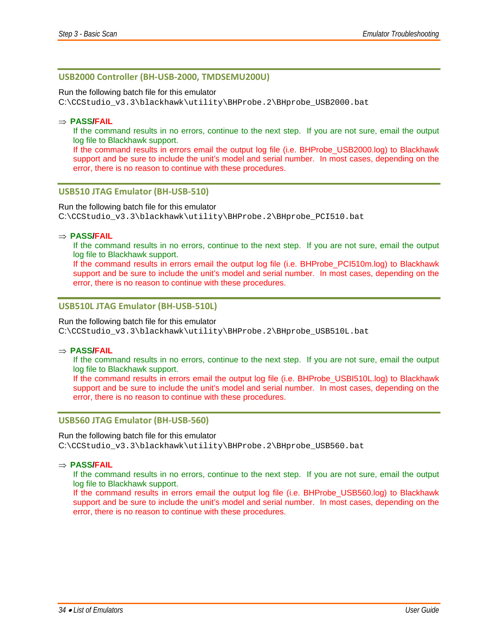#### **USB2000 Controller (BH‐USB‐2000, TMDSEMU200U)**

#### Run the following batch file for this emulator

C:\CCStudio\_v3.3\blackhawk\utility\BHProbe.2\BHprobe\_USB2000.bat

#### ⇒ **PASS/FAIL**

If the command results in no errors, continue to the next step. If you are not sure, email the output log file to Blackhawk support.

If the command results in errors email the output log file (i.e. BHProbe USB2000.log) to Blackhawk support and be sure to include the unit's model and serial number. In most cases, depending on the error, there is no reason to continue with these procedures.

#### **USB510 JTAG Emulator (BH‐USB‐510)**

#### Run the following batch file for this emulator

C:\CCStudio\_v3.3\blackhawk\utility\BHProbe.2\BHprobe\_PCI510.bat

#### ⇒ **PASS/FAIL**

If the command results in no errors, continue to the next step. If you are not sure, email the output log file to Blackhawk support.

If the command results in errors email the output log file (i.e. BHProbe\_PCI510m.log) to Blackhawk support and be sure to include the unit's model and serial number. In most cases, depending on the error, there is no reason to continue with these procedures.

#### **USB510L JTAG Emulator (BH‐USB‐510L)**

#### Run the following batch file for this emulator

C:\CCStudio\_v3.3\blackhawk\utility\BHProbe.2\BHprobe\_USB510L.bat

#### ⇒ **PASS/FAIL**

If the command results in no errors, continue to the next step. If you are not sure, email the output log file to Blackhawk support.

If the command results in errors email the output log file (i.e. BHProbe\_USBI510L.log) to Blackhawk support and be sure to include the unit's model and serial number. In most cases, depending on the error, there is no reason to continue with these procedures.

#### **USB560 JTAG Emulator (BH‐USB‐560)**

#### Run the following batch file for this emulator

C:\CCStudio\_v3.3\blackhawk\utility\BHProbe.2\BHprobe\_USB560.bat

#### ⇒ **PASS/FAIL**

If the command results in no errors, continue to the next step. If you are not sure, email the output log file to Blackhawk support.

If the command results in errors email the output log file (i.e. BHProbe\_USB560.log) to Blackhawk support and be sure to include the unit's model and serial number. In most cases, depending on the error, there is no reason to continue with these procedures.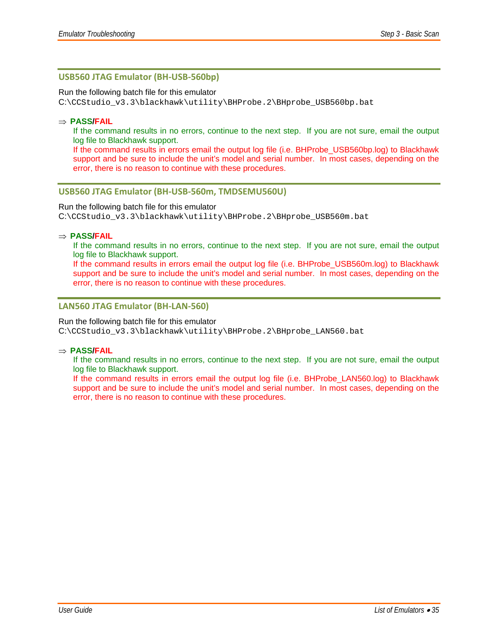#### **USB560 JTAG Emulator (BH‐USB‐560bp)**

#### Run the following batch file for this emulator

C:\CCStudio\_v3.3\blackhawk\utility\BHProbe.2\BHprobe\_USB560bp.bat

#### ⇒ **PASS/FAIL**

If the command results in no errors, continue to the next step. If you are not sure, email the output log file to Blackhawk support.

If the command results in errors email the output log file (i.e. BHProbe USB560bp.log) to Blackhawk support and be sure to include the unit's model and serial number. In most cases, depending on the error, there is no reason to continue with these procedures.

#### **USB560 JTAG Emulator (BH‐USB‐560m, TMDSEMU560U)**

#### Run the following batch file for this emulator

C:\CCStudio\_v3.3\blackhawk\utility\BHProbe.2\BHprobe\_USB560m.bat

#### ⇒ **PASS/FAIL**

If the command results in no errors, continue to the next step. If you are not sure, email the output log file to Blackhawk support.

If the command results in errors email the output log file (i.e. BHProbe\_USB560m.log) to Blackhawk support and be sure to include the unit's model and serial number. In most cases, depending on the error, there is no reason to continue with these procedures.

#### **LAN560 JTAG Emulator (BH‐LAN‐560)**

#### Run the following batch file for this emulator

C:\CCStudio\_v3.3\blackhawk\utility\BHProbe.2\BHprobe\_LAN560.bat

#### ⇒ **PASS/FAIL**

If the command results in no errors, continue to the next step. If you are not sure, email the output log file to Blackhawk support.

If the command results in errors email the output log file (i.e. BHProbe\_LAN560.log) to Blackhawk support and be sure to include the unit's model and serial number. In most cases, depending on the error, there is no reason to continue with these procedures.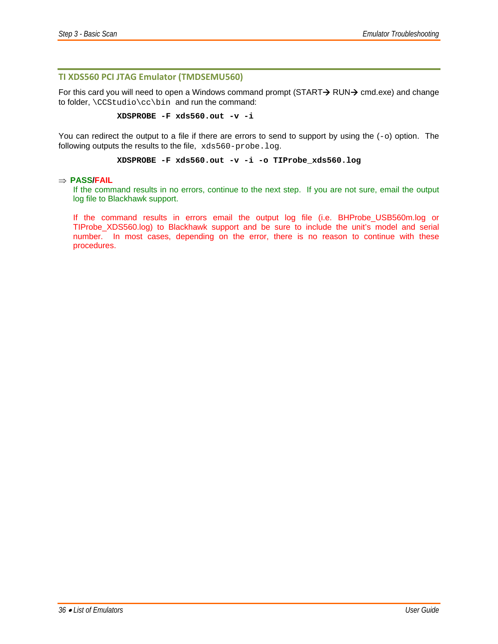#### **TI XDS560 PCI JTAG Emulator (TMDSEMU560)**

For this card you will need to open a Windows command prompt (START $\rightarrow$  RUN $\rightarrow$  cmd.exe) and change to folder, \CCStudio\cc\bin and run the command:

**XDSPROBE -F xds560.out -v -i** 

You can redirect the output to a file if there are errors to send to support by using the  $(-\circ)$  option. The following outputs the results to the file, xds560-probe.log.

#### **XDSPROBE -F xds560.out -v -i -o TIProbe\_xds560.log**

#### ⇒ **PASS/FAIL**

If the command results in no errors, continue to the next step. If you are not sure, email the output log file to Blackhawk support.

If the command results in errors email the output log file (i.e. BHProbe\_USB560m.log or TIProbe\_XDS560.log) to Blackhawk support and be sure to include the unit's model and serial number. In most cases, depending on the error, there is no reason to continue with these procedures.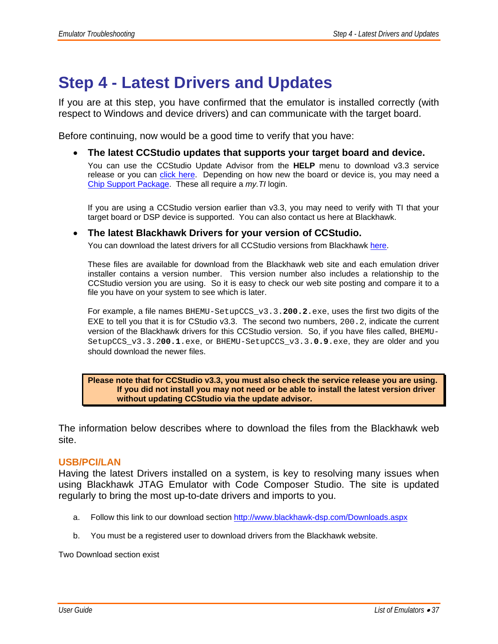## **Step 4 - Latest Drivers and Updates**

If you are at this step, you have confirmed that the emulator is installed correctly (with respect to Windows and device drivers) and can communicate with the target board.

Before continuing, now would be a good time to verify that you have:

#### • **The latest CCStudio updates that supports your target board and device.**

You can use the CCStudio Update Advisor from the **HELP** menu to download v3.3 service release or you can click here. Depending on how new the board or device is, you may need a Chip Support Package. These all require a *my.TI* login.

If you are using a CCStudio version earlier than v3.3, you may need to verify with TI that your target board or DSP device is supported. You can also contact us here at Blackhawk.

#### • **The latest Blackhawk Drivers for your version of CCStudio.**

You can download the latest drivers for all CCStudio versions from Blackhawk here.

These files are available for download from the Blackhawk web site and each emulation driver installer contains a version number. This version number also includes a relationship to the CCStudio version you are using. So it is easy to check our web site posting and compare it to a file you have on your system to see which is later.

For example, a file names BHEMU-SetupCCS\_v3.3.**200.2**.exe, uses the first two digits of the EXE to tell you that it is for CStudio v3.3. The second two numbers, 200.2, indicate the current version of the Blackhawk drivers for this CCStudio version. So, if you have files called, BHEMU-SetupCCS\_v3.3.2**00.1**.exe, or BHEMU-SetupCCS\_v3.3.**0.9**.exe, they are older and you should download the newer files.

#### **Please note that for CCStudio v3.3, you must also check the service release you are using. If you did not install you may not need or be able to install the latest version driver without updating CCStudio via the update advisor.**

The information below describes where to download the files from the Blackhawk web site.

### **USB/PCI/LAN**

Having the latest Drivers installed on a system, is key to resolving many issues when using Blackhawk JTAG Emulator with Code Composer Studio. The site is updated regularly to bring the most up-to-date drivers and imports to you.

- a. Follow this link to our download section http://www.blackhawk-dsp.com/Downloads.aspx
- b. You must be a registered user to download drivers from the Blackhawk website.

Two Download section exist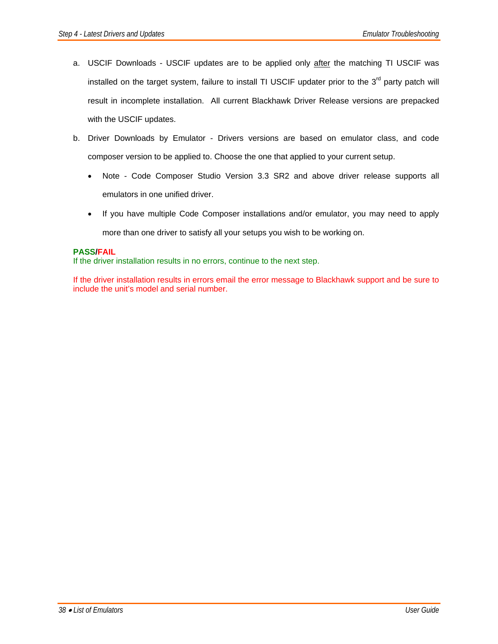- a. USCIF Downloads USCIF updates are to be applied only after the matching TI USCIF was installed on the target system, failure to install TI USCIF updater prior to the 3<sup>rd</sup> party patch will result in incomplete installation. All current Blackhawk Driver Release versions are prepacked with the USCIF updates.
- b. Driver Downloads by Emulator Drivers versions are based on emulator class, and code composer version to be applied to. Choose the one that applied to your current setup.
	- Note Code Composer Studio Version 3.3 SR2 and above driver release supports all emulators in one unified driver.
	- If you have multiple Code Composer installations and/or emulator, you may need to apply more than one driver to satisfy all your setups you wish to be working on.

#### **PASS/FAIL**

If the driver installation results in no errors, continue to the next step.

If the driver installation results in errors email the error message to Blackhawk support and be sure to include the unit's model and serial number.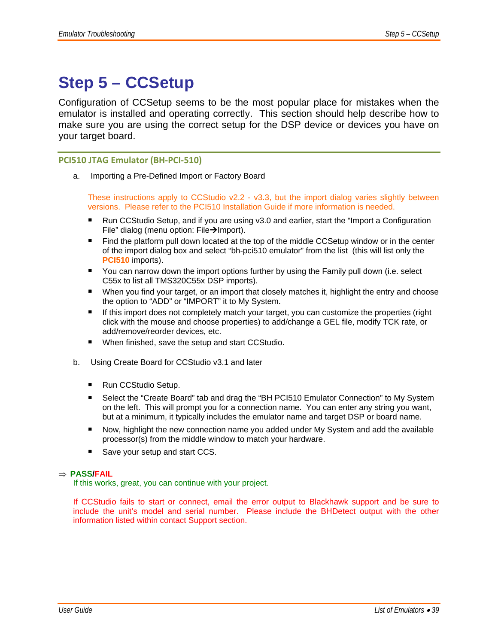## **Step 5 – CCSetup**

Configuration of CCSetup seems to be the most popular place for mistakes when the emulator is installed and operating correctly. This section should help describe how to make sure you are using the correct setup for the DSP device or devices you have on your target board.

#### **PCI510 JTAG Emulator (BH‐PCI‐510)**

a. Importing a Pre-Defined Import or Factory Board

These instructions apply to CCStudio v2.2 - v3.3, but the import dialog varies slightly between versions. Please refer to the PCI510 Installation Guide if more information is needed.

- Run CCStudio Setup, and if you are using v3.0 and earlier, start the "Import a Configuration File" dialog (menu option: File $\rightarrow$ Import).
- Find the platform pull down located at the top of the middle CCSetup window or in the center of the import dialog box and select "bh-pci510 emulator" from the list (this will list only the **PCI510** imports).
- You can narrow down the import options further by using the Family pull down (i.e. select C55x to list all TMS320C55x DSP imports).
- When you find your target, or an import that closely matches it, highlight the entry and choose the option to "ADD" or "IMPORT" it to My System.
- **If this import does not completely match your target, you can customize the properties (right** click with the mouse and choose properties) to add/change a GEL file, modify TCK rate, or add/remove/reorder devices, etc.
- When finished, save the setup and start CCStudio.
- b. Using Create Board for CCStudio v3.1 and later
	- Run CCStudio Setup.
	- Select the "Create Board" tab and drag the "BH PCI510 Emulator Connection" to My System on the left. This will prompt you for a connection name. You can enter any string you want, but at a minimum, it typically includes the emulator name and target DSP or board name.
	- Now, highlight the new connection name you added under My System and add the available processor(s) from the middle window to match your hardware.
	- Save your setup and start CCS.

#### ⇒ **PASS/FAIL**

If this works, great, you can continue with your project.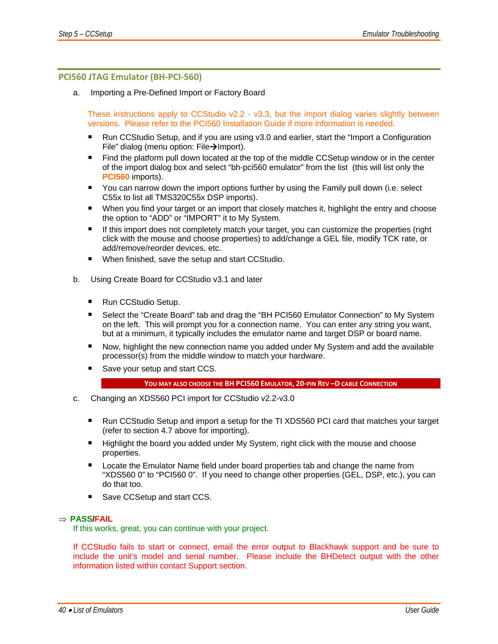#### **PCI560 JTAG Emulator (BH‐PCI‐560)**

a. Importing a Pre-Defined Import or Factory Board

These instructions apply to CCStudio v2.2 - v3.3, but the import dialog varies slightly between versions. Please refer to the PCI560 Installation Guide if more information is needed.

- Run CCStudio Setup, and if you are using v3.0 and earlier, start the "Import a Configuration File" dialog (menu option: File $\rightarrow$ Import).
- **Find the platform pull down located at the top of the middle CCSetup window or in the center** of the import dialog box and select "bh-pci560 emulator" from the list (this will list only the **PCI560** imports).
- You can narrow down the import options further by using the Family pull down (i.e. select C55x to list all TMS320C55x DSP imports).
- **When you find your target or an import that closely matches it, highlight the entry and choose** the option to "ADD" or "IMPORT" it to My System.
- If this import does not completely match your target, you can customize the properties (right click with the mouse and choose properties) to add/change a GEL file, modify TCK rate, or add/remove/reorder devices, etc.
- When finished, save the setup and start CCStudio.
- b. Using Create Board for CCStudio v3.1 and later
	- Run CCStudio Setup.
	- Select the "Create Board" tab and drag the "BH PCI560 Emulator Connection" to My System on the left. This will prompt you for a connection name. You can enter any string you want, but at a minimum, it typically includes the emulator name and target DSP or board name.
	- Now, highlight the new connection name you added under My System and add the available processor(s) from the middle window to match your hardware.
	- Save your setup and start CCS.

#### **YOU MAY ALSO CHOOSE THE BH PCI560 EMULATOR, 20‐PIN REV –D CABLE CONNECTION**

- c. Changing an XDS560 PCI import for CCStudio v2.2-v3.0
	- Run CCStudio Setup and import a setup for the TI XDS560 PCI card that matches your target (refer to section 4.7 above for importing).
	- **Highlight the board you added under My System, right click with the mouse and choose** properties.
	- **Locate the Emulator Name field under board properties tab and change the name from** "XDS560 0" to "PCI560 0". If you need to change other properties (GEL, DSP, etc.), you can do that too.
	- Save CCSetup and start CCS.

#### ⇒ **PASS/FAIL**

If this works, great, you can continue with your project.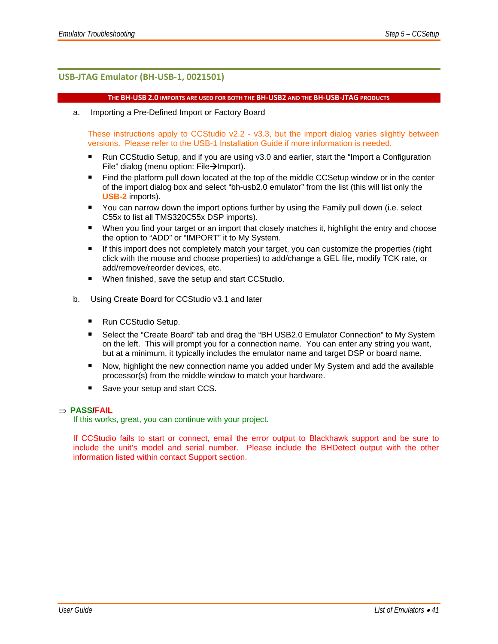#### **USB‐JTAG Emulator (BH‐USB‐1, 0021501)**

#### THE BH-USB 2.0 IMPORTS ARE USED FOR BOTH THE BH-USB2 AND THE BH-USB-JTAG PRODUCTS

a. Importing a Pre-Defined Import or Factory Board

These instructions apply to CCStudio v2.2 - v3.3, but the import dialog varies slightly between versions. Please refer to the USB-1 Installation Guide if more information is needed.

- Run CCStudio Setup, and if you are using v3.0 and earlier, start the "Import a Configuration File" dialog (menu option: File $\rightarrow$ Import).
- Find the platform pull down located at the top of the middle CCSetup window or in the center of the import dialog box and select "bh-usb2.0 emulator" from the list (this will list only the **USB-2** imports).
- You can narrow down the import options further by using the Family pull down (i.e. select C55x to list all TMS320C55x DSP imports).
- When you find your target or an import that closely matches it, highlight the entry and choose the option to "ADD" or "IMPORT" it to My System.
- **If this import does not completely match your target, you can customize the properties (right** click with the mouse and choose properties) to add/change a GEL file, modify TCK rate, or add/remove/reorder devices, etc.
- When finished, save the setup and start CCStudio.
- b. Using Create Board for CCStudio v3.1 and later
	- Run CCStudio Setup.
	- Select the "Create Board" tab and drag the "BH USB2.0 Emulator Connection" to My System on the left. This will prompt you for a connection name. You can enter any string you want, but at a minimum, it typically includes the emulator name and target DSP or board name.
	- Now, highlight the new connection name you added under My System and add the available processor(s) from the middle window to match your hardware.
	- Save your setup and start CCS.

#### ⇒ **PASS/FAIL**

If this works, great, you can continue with your project.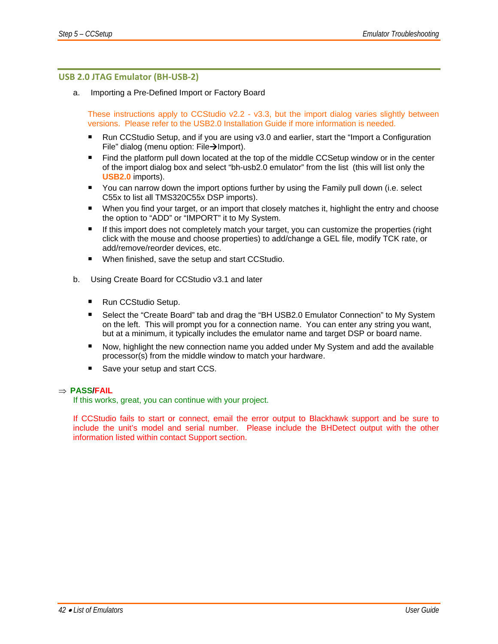#### **USB 2.0 JTAG Emulator (BH‐USB‐2)**

a. Importing a Pre-Defined Import or Factory Board

These instructions apply to CCStudio v2.2 - v3.3, but the import dialog varies slightly between versions. Please refer to the USB2.0 Installation Guide if more information is needed.

- Run CCStudio Setup, and if you are using v3.0 and earlier, start the "Import a Configuration File" dialog (menu option: File $\rightarrow$ Import).
- Find the platform pull down located at the top of the middle CCSetup window or in the center of the import dialog box and select "bh-usb2.0 emulator" from the list (this will list only the **USB2.0** imports).
- You can narrow down the import options further by using the Family pull down (i.e. select C55x to list all TMS320C55x DSP imports).
- When you find your target, or an import that closely matches it, highlight the entry and choose the option to "ADD" or "IMPORT" it to My System.
- If this import does not completely match your target, you can customize the properties (right click with the mouse and choose properties) to add/change a GEL file, modify TCK rate, or add/remove/reorder devices, etc.
- When finished, save the setup and start CCStudio.
- b. Using Create Board for CCStudio v3.1 and later
	- Run CCStudio Setup.
	- Select the "Create Board" tab and drag the "BH USB2.0 Emulator Connection" to My System on the left. This will prompt you for a connection name. You can enter any string you want, but at a minimum, it typically includes the emulator name and target DSP or board name.
	- Now, highlight the new connection name you added under My System and add the available processor(s) from the middle window to match your hardware.
	- Save your setup and start CCS.

#### ⇒ **PASS/FAIL**

If this works, great, you can continue with your project.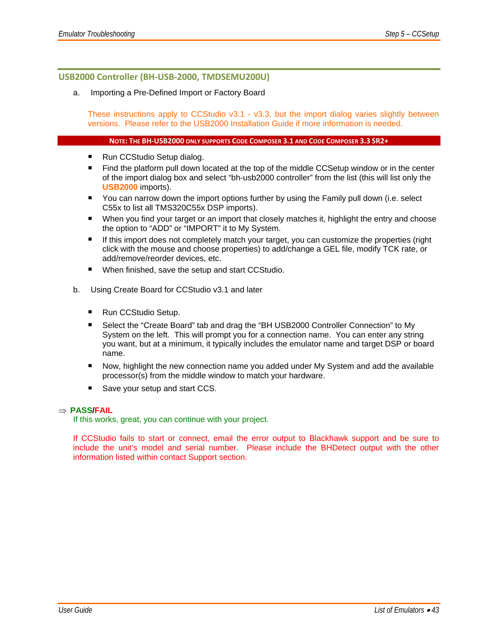#### **USB2000 Controller (BH‐USB‐2000, TMDSEMU200U)**

#### a. Importing a Pre-Defined Import or Factory Board

These instructions apply to CCStudio v3.1 - v3.3, but the import dialog varies slightly between versions. Please refer to the USB2000 Installation Guide if more information is needed.

#### **NOTE: THE BH‐USB2000 ONLY SUPPORTS CODE COMPOSER 3.1 AND CODE COMPOSER 3.3 SR2+**

- Run CCStudio Setup dialog.
- Find the platform pull down located at the top of the middle CCSetup window or in the center of the import dialog box and select "bh-usb2000 controller" from the list (this will list only the **USB2000** imports).
- You can narrow down the import options further by using the Family pull down (i.e. select C55x to list all TMS320C55x DSP imports).
- **When you find your target or an import that closely matches it, highlight the entry and choose** the option to "ADD" or "IMPORT" it to My System.
- If this import does not completely match your target, you can customize the properties (right click with the mouse and choose properties) to add/change a GEL file, modify TCK rate, or add/remove/reorder devices, etc.
- When finished, save the setup and start CCStudio.
- b. Using Create Board for CCStudio v3.1 and later
	- Run CCStudio Setup.
	- Select the "Create Board" tab and drag the "BH USB2000 Controller Connection" to My System on the left. This will prompt you for a connection name. You can enter any string you want, but at a minimum, it typically includes the emulator name and target DSP or board name.
	- Now, highlight the new connection name you added under My System and add the available processor(s) from the middle window to match your hardware.
	- Save your setup and start CCS.

#### ⇒ **PASS/FAIL**

If this works, great, you can continue with your project.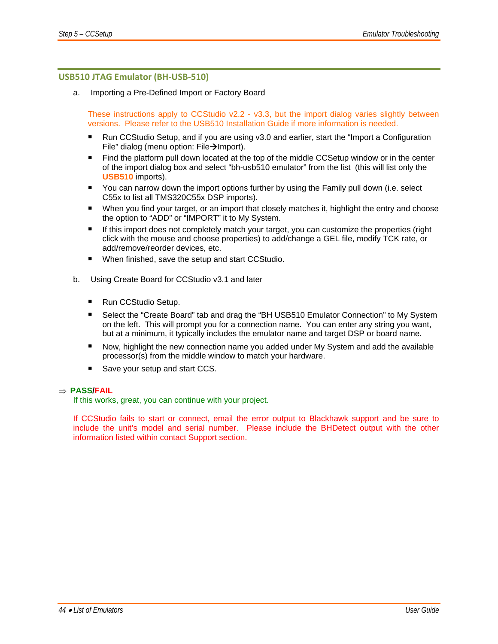#### **USB510 JTAG Emulator (BH‐USB‐510)**

a. Importing a Pre-Defined Import or Factory Board

These instructions apply to CCStudio v2.2 - v3.3, but the import dialog varies slightly between versions. Please refer to the USB510 Installation Guide if more information is needed.

- Run CCStudio Setup, and if you are using v3.0 and earlier, start the "Import a Configuration File" dialog (menu option: File $\rightarrow$ Import).
- Find the platform pull down located at the top of the middle CCSetup window or in the center of the import dialog box and select "bh-usb510 emulator" from the list (this will list only the **USB510** imports).
- You can narrow down the import options further by using the Family pull down (i.e. select C55x to list all TMS320C55x DSP imports).
- When you find your target, or an import that closely matches it, highlight the entry and choose the option to "ADD" or "IMPORT" it to My System.
- If this import does not completely match your target, you can customize the properties (right click with the mouse and choose properties) to add/change a GEL file, modify TCK rate, or add/remove/reorder devices, etc.
- When finished, save the setup and start CCStudio.
- b. Using Create Board for CCStudio v3.1 and later
	- Run CCStudio Setup.
	- Select the "Create Board" tab and drag the "BH USB510 Emulator Connection" to My System on the left. This will prompt you for a connection name. You can enter any string you want, but at a minimum, it typically includes the emulator name and target DSP or board name.
	- Now, highlight the new connection name you added under My System and add the available processor(s) from the middle window to match your hardware.
	- Save your setup and start CCS.

#### ⇒ **PASS/FAIL**

If this works, great, you can continue with your project.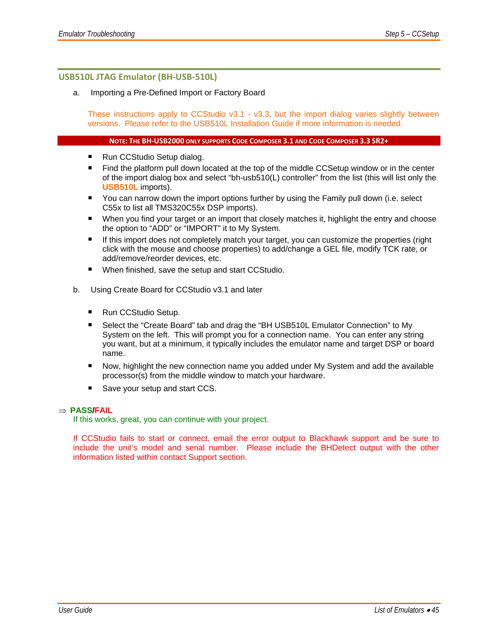#### **USB510L JTAG Emulator (BH‐USB‐510L)**

#### a. Importing a Pre-Defined Import or Factory Board

These instructions apply to CCStudio v3.1 - v3.3, but the import dialog varies slightly between versions. Please refer to the USB510L Installation Guide if more information is needed.

#### **NOTE: THE BH‐USB2000 ONLY SUPPORTS CODE COMPOSER 3.1 AND CODE COMPOSER 3.3 SR2+**

- Run CCStudio Setup dialog.
- Find the platform pull down located at the top of the middle CCSetup window or in the center of the import dialog box and select "bh-usb510(L) controller" from the list (this will list only the **USB510L** imports).
- You can narrow down the import options further by using the Family pull down (i.e. select C55x to list all TMS320C55x DSP imports).
- **When you find your target or an import that closely matches it, highlight the entry and choose** the option to "ADD" or "IMPORT" it to My System.
- If this import does not completely match your target, you can customize the properties (right click with the mouse and choose properties) to add/change a GEL file, modify TCK rate, or add/remove/reorder devices, etc.
- When finished, save the setup and start CCStudio.
- b. Using Create Board for CCStudio v3.1 and later
	- Run CCStudio Setup.
	- Select the "Create Board" tab and drag the "BH USB510L Emulator Connection" to My System on the left. This will prompt you for a connection name. You can enter any string you want, but at a minimum, it typically includes the emulator name and target DSP or board name.
	- Now, highlight the new connection name you added under My System and add the available processor(s) from the middle window to match your hardware.
	- Save your setup and start CCS.

#### ⇒ **PASS/FAIL**

If this works, great, you can continue with your project.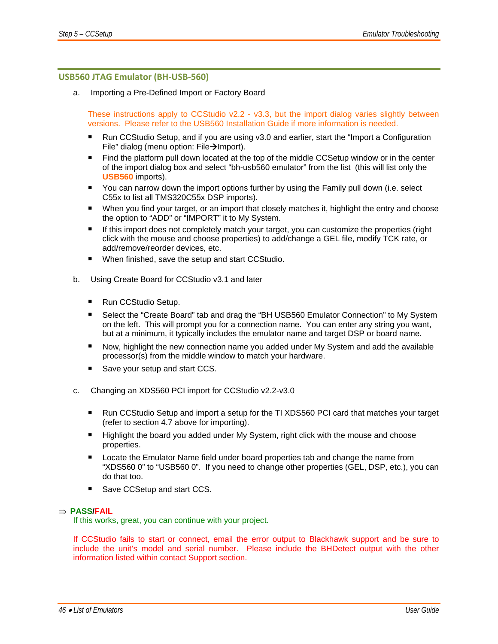#### **USB560 JTAG Emulator (BH‐USB‐560)**

a. Importing a Pre-Defined Import or Factory Board

These instructions apply to CCStudio v2.2 - v3.3, but the import dialog varies slightly between versions. Please refer to the USB560 Installation Guide if more information is needed.

- Run CCStudio Setup, and if you are using v3.0 and earlier, start the "Import a Configuration File" dialog (menu option: File $\rightarrow$ Import).
- Find the platform pull down located at the top of the middle CCSetup window or in the center of the import dialog box and select "bh-usb560 emulator" from the list (this will list only the **USB560** imports).
- You can narrow down the import options further by using the Family pull down (i.e. select C55x to list all TMS320C55x DSP imports).
- **When you find your target, or an import that closely matches it, highlight the entry and choose** the option to "ADD" or "IMPORT" it to My System.
- If this import does not completely match your target, you can customize the properties (right click with the mouse and choose properties) to add/change a GEL file, modify TCK rate, or add/remove/reorder devices, etc.
- When finished, save the setup and start CCStudio.
- b. Using Create Board for CCStudio v3.1 and later
	- Run CCStudio Setup.
	- Select the "Create Board" tab and drag the "BH USB560 Emulator Connection" to My System on the left. This will prompt you for a connection name. You can enter any string you want, but at a minimum, it typically includes the emulator name and target DSP or board name.
	- Now, highlight the new connection name you added under My System and add the available processor(s) from the middle window to match your hardware.
	- Save your setup and start CCS.
- c. Changing an XDS560 PCI import for CCStudio v2.2-v3.0
	- Run CCStudio Setup and import a setup for the TI XDS560 PCI card that matches your target (refer to section 4.7 above for importing).
	- **Highlight the board you added under My System, right click with the mouse and choose** properties.
	- **Locate the Emulator Name field under board properties tab and change the name from** "XDS560 0" to "USB560 0". If you need to change other properties (GEL, DSP, etc.), you can do that too.
	- Save CCSetup and start CCS.

#### ⇒ **PASS/FAIL**

If this works, great, you can continue with your project.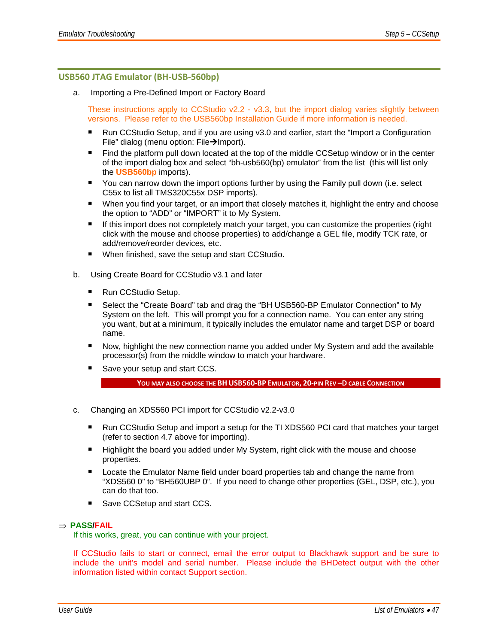#### **USB560 JTAG Emulator (BH‐USB‐560bp)**

a. Importing a Pre-Defined Import or Factory Board

These instructions apply to CCStudio v2.2 - v3.3, but the import dialog varies slightly between versions. Please refer to the USB560bp Installation Guide if more information is needed.

- Run CCStudio Setup, and if you are using v3.0 and earlier, start the "Import a Configuration File" dialog (menu option: File $\rightarrow$ Import).
- Find the platform pull down located at the top of the middle CCSetup window or in the center of the import dialog box and select "bh-usb560(bp) emulator" from the list (this will list only the **USB560bp** imports).
- You can narrow down the import options further by using the Family pull down (i.e. select C55x to list all TMS320C55x DSP imports).
- When you find your target, or an import that closely matches it, highlight the entry and choose the option to "ADD" or "IMPORT" it to My System.
- If this import does not completely match your target, you can customize the properties (right click with the mouse and choose properties) to add/change a GEL file, modify TCK rate, or add/remove/reorder devices, etc.
- When finished, save the setup and start CCStudio.
- b. Using Create Board for CCStudio v3.1 and later
	- Run CCStudio Setup.
	- Select the "Create Board" tab and drag the "BH USB560-BP Emulator Connection" to My System on the left. This will prompt you for a connection name. You can enter any string you want, but at a minimum, it typically includes the emulator name and target DSP or board name.
	- Now, highlight the new connection name you added under My System and add the available processor(s) from the middle window to match your hardware.
	- Save your setup and start CCS.

```
YOU MAY ALSO CHOOSE THE BH USB560‐BP EMULATOR, 20‐PIN REV –D CABLE CONNECTION
```
- c. Changing an XDS560 PCI import for CCStudio v2.2-v3.0
	- Run CCStudio Setup and import a setup for the TI XDS560 PCI card that matches your target (refer to section 4.7 above for importing).
	- Highlight the board you added under My System, right click with the mouse and choose properties.
	- Locate the Emulator Name field under board properties tab and change the name from "XDS560 0" to "BH560UBP 0". If you need to change other properties (GEL, DSP, etc.), you can do that too.
	- Save CCSetup and start CCS.

#### ⇒ **PASS/FAIL**

If this works, great, you can continue with your project.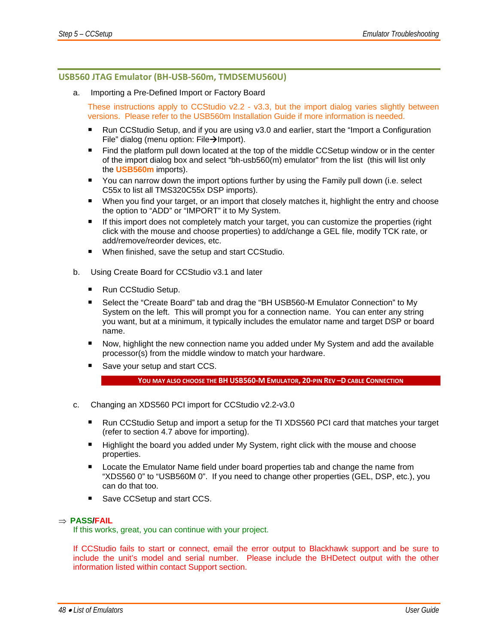#### **USB560 JTAG Emulator (BH‐USB‐560m, TMDSEMU560U)**

a. Importing a Pre-Defined Import or Factory Board

These instructions apply to CCStudio v2.2 - v3.3, but the import dialog varies slightly between versions. Please refer to the USB560m Installation Guide if more information is needed.

- Run CCStudio Setup, and if you are using v3.0 and earlier, start the "Import a Configuration File" dialog (menu option: File $\rightarrow$ Import).
- **Find the platform pull down located at the top of the middle CCSetup window or in the center** of the import dialog box and select "bh-usb560(m) emulator" from the list (this will list only the **USB560m** imports).
- You can narrow down the import options further by using the Family pull down (i.e. select C55x to list all TMS320C55x DSP imports).
- When you find your target, or an import that closely matches it, highlight the entry and choose the option to "ADD" or "IMPORT" it to My System.
- **If this import does not completely match your target, you can customize the properties (right** click with the mouse and choose properties) to add/change a GEL file, modify TCK rate, or add/remove/reorder devices, etc.
- When finished, save the setup and start CCStudio.
- b. Using Create Board for CCStudio v3.1 and later
	- Run CCStudio Setup.
	- Select the "Create Board" tab and drag the "BH USB560-M Emulator Connection" to My System on the left. This will prompt you for a connection name. You can enter any string you want, but at a minimum, it typically includes the emulator name and target DSP or board name.
	- Now, highlight the new connection name you added under My System and add the available processor(s) from the middle window to match your hardware.
	- Save your setup and start CCS.

```
YOU MAY ALSO CHOOSE THE BH USB560‐M EMULATOR, 20‐PIN REV –D CABLE CONNECTION
```
- c. Changing an XDS560 PCI import for CCStudio v2.2-v3.0
	- Run CCStudio Setup and import a setup for the TI XDS560 PCI card that matches your target (refer to section 4.7 above for importing).
	- Highlight the board you added under My System, right click with the mouse and choose properties.
	- **Locate the Emulator Name field under board properties tab and change the name from** "XDS560 0" to "USB560M 0". If you need to change other properties (GEL, DSP, etc.), you can do that too.
	- Save CCSetup and start CCS.

#### ⇒ **PASS/FAIL**

If this works, great, you can continue with your project.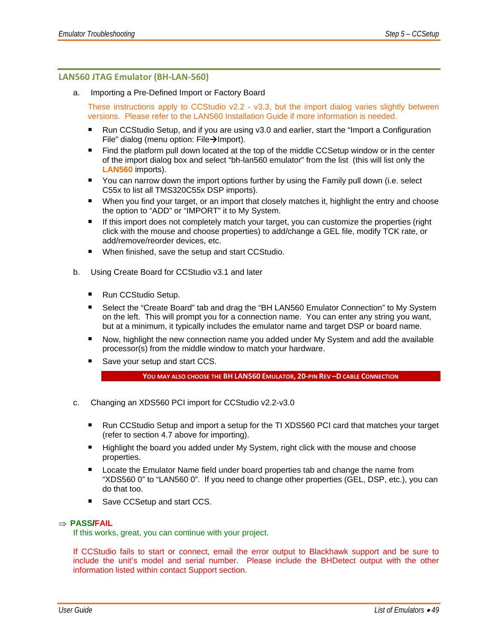#### **LAN560 JTAG Emulator (BH‐LAN‐560)**

a. Importing a Pre-Defined Import or Factory Board

These instructions apply to CCStudio v2.2 - v3.3, but the import dialog varies slightly between versions. Please refer to the LAN560 Installation Guide if more information is needed.

- Run CCStudio Setup, and if you are using v3.0 and earlier, start the "Import a Configuration File" dialog (menu option: File $\rightarrow$ Import).
- **Find the platform pull down located at the top of the middle CCSetup window or in the center** of the import dialog box and select "bh-lan560 emulator" from the list (this will list only the **LAN560** imports).
- You can narrow down the import options further by using the Family pull down (i.e. select C55x to list all TMS320C55x DSP imports).
- When you find your target, or an import that closely matches it, highlight the entry and choose the option to "ADD" or "IMPORT" it to My System.
- **If this import does not completely match your target, you can customize the properties (right** click with the mouse and choose properties) to add/change a GEL file, modify TCK rate, or add/remove/reorder devices, etc.
- When finished, save the setup and start CCStudio.
- b. Using Create Board for CCStudio v3.1 and later
	- Run CCStudio Setup.
	- Select the "Create Board" tab and drag the "BH LAN560 Emulator Connection" to My System on the left. This will prompt you for a connection name. You can enter any string you want, but at a minimum, it typically includes the emulator name and target DSP or board name.
	- Now, highlight the new connection name you added under My System and add the available processor(s) from the middle window to match your hardware.
	- Save your setup and start CCS.

**YOU MAY ALSO CHOOSE THE BH LAN560 EMULATOR, 20‐PIN REV –D CABLE CONNECTION**

- c. Changing an XDS560 PCI import for CCStudio v2.2-v3.0
	- Run CCStudio Setup and import a setup for the TI XDS560 PCI card that matches your target (refer to section 4.7 above for importing).
	- **Highlight the board you added under My System, right click with the mouse and choose** properties.
	- **Locate the Emulator Name field under board properties tab and change the name from** "XDS560 0" to "LAN560 0". If you need to change other properties (GEL, DSP, etc.), you can do that too.
	- Save CCSetup and start CCS.

#### ⇒ **PASS/FAIL**

If this works, great, you can continue with your project.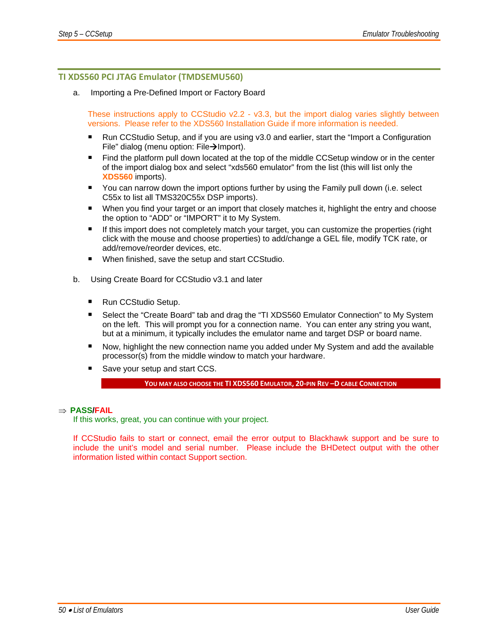#### **TI XDS560 PCI JTAG Emulator (TMDSEMU560)**

a. Importing a Pre-Defined Import or Factory Board

These instructions apply to CCStudio v2.2 - v3.3, but the import dialog varies slightly between versions. Please refer to the XDS560 Installation Guide if more information is needed.

- Run CCStudio Setup, and if you are using v3.0 and earlier, start the "Import a Configuration File" dialog (menu option: File $\rightarrow$ Import).
- Find the platform pull down located at the top of the middle CCSetup window or in the center of the import dialog box and select "xds560 emulator" from the list (this will list only the **XDS560** imports).
- You can narrow down the import options further by using the Family pull down (i.e. select C55x to list all TMS320C55x DSP imports).
- **When you find your target or an import that closely matches it, highlight the entry and choose** the option to "ADD" or "IMPORT" it to My System.
- If this import does not completely match your target, you can customize the properties (right click with the mouse and choose properties) to add/change a GEL file, modify TCK rate, or add/remove/reorder devices, etc.
- When finished, save the setup and start CCStudio.
- b. Using Create Board for CCStudio v3.1 and later
	- Run CCStudio Setup.
	- Select the "Create Board" tab and drag the "TI XDS560 Emulator Connection" to My System on the left. This will prompt you for a connection name. You can enter any string you want, but at a minimum, it typically includes the emulator name and target DSP or board name.
	- Now, highlight the new connection name you added under My System and add the available processor(s) from the middle window to match your hardware.
	- Save your setup and start CCS.

**YOU MAY ALSO CHOOSE THE TI XDS560 EMULATOR, 20‐PIN REV –D CABLE CONNECTION**

#### ⇒ **PASS/FAIL**

If this works, great, you can continue with your project.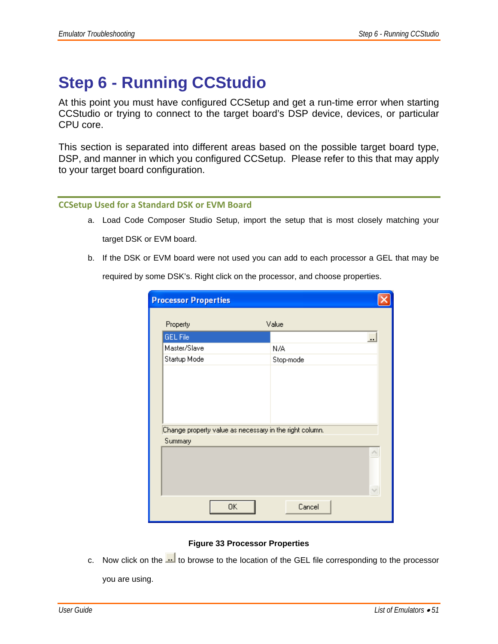## **Step 6 - Running CCStudio**

At this point you must have configured CCSetup and get a run-time error when starting CCStudio or trying to connect to the target board's DSP device, devices, or particular CPU core.

This section is separated into different areas based on the possible target board type, DSP, and manner in which you configured CCSetup. Please refer to this that may apply to your target board configuration.

#### **CCSetup Used for a Standard DSK or EVM Board**

- a. Load Code Composer Studio Setup, import the setup that is most closely matching your target DSK or EVM board.
- b. If the DSK or EVM board were not used you can add to each processor a GEL that may be

required by some DSK's. Right click on the processor, and choose properties.

| <b>Processor Properties</b>                             |                          |  |
|---------------------------------------------------------|--------------------------|--|
| Property                                                | Value                    |  |
| GEL File                                                | $\overline{\phantom{a}}$ |  |
| Master/Slave                                            | N/A                      |  |
| Startup Mode                                            | Stop-mode                |  |
|                                                         |                          |  |
|                                                         |                          |  |
|                                                         |                          |  |
|                                                         |                          |  |
| Change property value as necessary in the right column. |                          |  |
| Summary                                                 |                          |  |
|                                                         |                          |  |
| 0K                                                      | Cancel                   |  |

#### **Figure 33 Processor Properties**

c. Now click on the  $\frac{1}{\cdot}$  to browse to the location of the GEL file corresponding to the processor

you are using.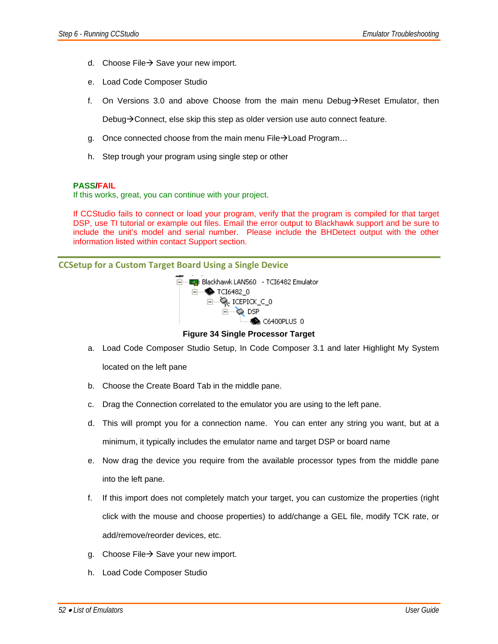- d. Choose File $\rightarrow$  Save your new import.
- e. Load Code Composer Studio
- f. On Versions 3.0 and above Choose from the main menu Debug $\rightarrow$ Reset Emulator, then

Debug $\rightarrow$ Connect, else skip this step as older version use auto connect feature.

- g. Once connected choose from the main menu File $\rightarrow$  Load Program...
- h. Step trough your program using single step or other

#### **3. PASS/FAIL**

If this works, great, you can continue with your project.

If CCStudio fails to connect or load your program, verify that the program is compiled for that target DSP, use TI tutorial or example out files. Email the error output to Blackhawk support and be sure to include the unit's model and serial number. Please include the BHDetect output with the other information listed within contact Support section.

**CCSetup for a Custom Target Board Using a Single Device**



**Figure 34 Single Processor Target** 

- a. Load Code Composer Studio Setup, In Code Composer 3.1 and later Highlight My System located on the left pane
- b. Choose the Create Board Tab in the middle pane.
- c. Drag the Connection correlated to the emulator you are using to the left pane.
- d. This will prompt you for a connection name. You can enter any string you want, but at a minimum, it typically includes the emulator name and target DSP or board name
- e. Now drag the device you require from the available processor types from the middle pane into the left pane.
- f. If this import does not completely match your target, you can customize the properties (right click with the mouse and choose properties) to add/change a GEL file, modify TCK rate, or add/remove/reorder devices, etc.
- g. Choose File  $\rightarrow$  Save your new import.
- h. Load Code Composer Studio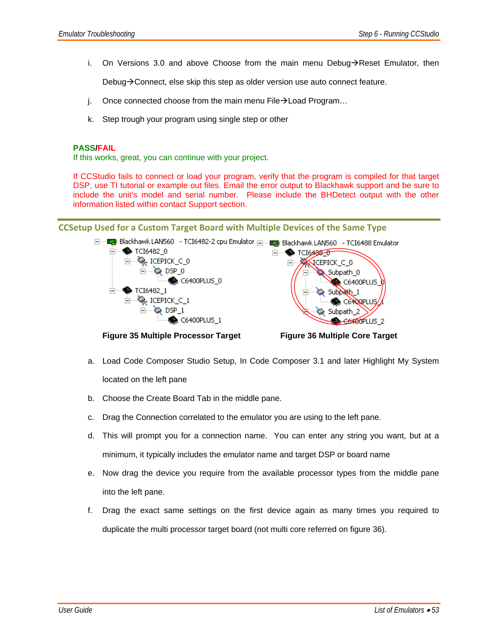i. On Versions 3.0 and above Choose from the main menu Debug $\rightarrow$ Reset Emulator, then

Debug $\rightarrow$  Connect, else skip this step as older version use auto connect feature.

- j. Once connected choose from the main menu File $\rightarrow$  Load Program...
- k. Step trough your program using single step or other

#### **5. PASS/FAIL**

If this works, great, you can continue with your project.

If CCStudio fails to connect or load your program, verify that the program is compiled for that target DSP, use TI tutorial or example out files. Email the error output to Blackhawk support and be sure to include the unit's model and serial number. Please include the BHDetect output with the other information listed within contact Support section.

#### **CCSetup Used for a Custom Target Board with Multiple Devices of the Same Type**



**Figure 35 Multiple Processor Target Figure 36 Multiple Core Target** 

- a. Load Code Composer Studio Setup, In Code Composer 3.1 and later Highlight My System located on the left pane
- b. Choose the Create Board Tab in the middle pane.
- c. Drag the Connection correlated to the emulator you are using to the left pane.
- d. This will prompt you for a connection name. You can enter any string you want, but at a minimum, it typically includes the emulator name and target DSP or board name
- e. Now drag the device you require from the available processor types from the middle pane into the left pane.
- f. Drag the exact same settings on the first device again as many times you required to duplicate the multi processor target board (not multi core referred on figure 36).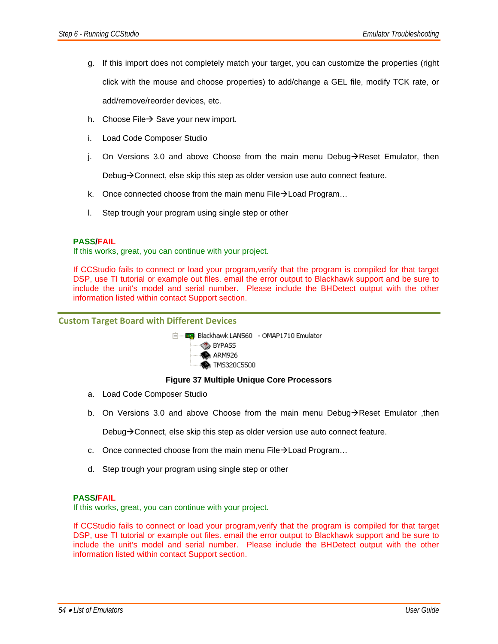- g. If this import does not completely match your target, you can customize the properties (right click with the mouse and choose properties) to add/change a GEL file, modify TCK rate, or add/remove/reorder devices, etc.
- h. Choose File $\rightarrow$  Save your new import.
- i. Load Code Composer Studio
- j. On Versions 3.0 and above Choose from the main menu Debug $\rightarrow$ Reset Emulator, then

Debug $\rightarrow$  Connect, else skip this step as older version use auto connect feature.

- k. Once connected choose from the main menu File $\rightarrow$  Load Program...
- l. Step trough your program using single step or other

#### **7. PASS/FAIL**

If this works, great, you can continue with your project.

If CCStudio fails to connect or load your program,verify that the program is compiled for that target DSP, use TI tutorial or example out files. email the error output to Blackhawk support and be sure to include the unit's model and serial number. Please include the BHDetect output with the other information listed within contact Support section.

#### **Custom Target Board with Different Devices**



#### **MS320C5500**

#### **Figure 37 Multiple Unique Core Processors**

- a. Load Code Composer Studio
- b. On Versions 3.0 and above Choose from the main menu Debug $\rightarrow$ Reset Emulator, then

Debug $\rightarrow$  Connect, else skip this step as older version use auto connect feature.

- c. Once connected choose from the main menu File $\rightarrow$  Load Program...
- d. Step trough your program using single step or other

#### **9. PASS/FAIL**

If this works, great, you can continue with your project.

If CCStudio fails to connect or load your program,verify that the program is compiled for that target DSP, use TI tutorial or example out files. email the error output to Blackhawk support and be sure to include the unit's model and serial number. Please include the BHDetect output with the other information listed within contact Support section.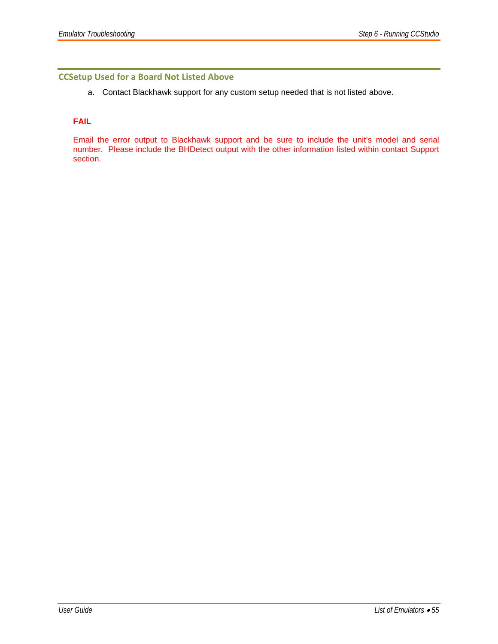#### **CCSetup Used for a Board Not Listed Above**

a. Contact Blackhawk support for any custom setup needed that is not listed above.

#### **11. FAIL**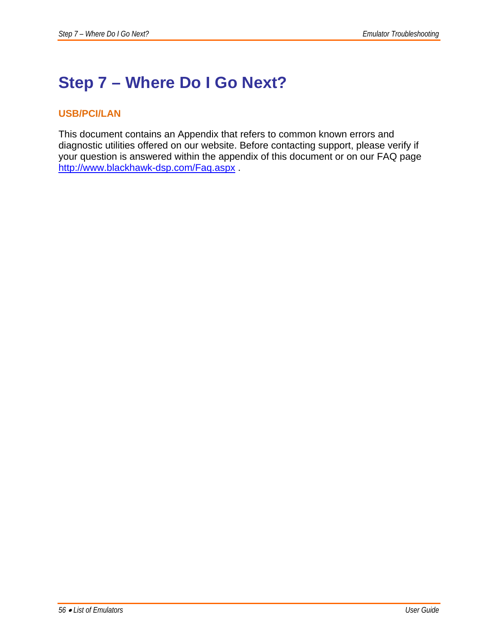## **Step 7 – Where Do I Go Next?**

### **USB/PCI/LAN**

This document contains an Appendix that refers to common known errors and diagnostic utilities offered on our website. Before contacting support, please verify if your question is answered within the appendix of this document or on our FAQ page http://www.blackhawk-dsp.com/Faq.aspx .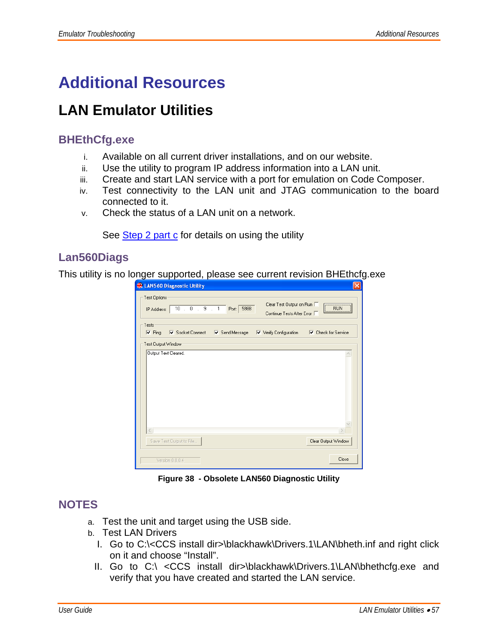## **Additional Resources**

## **LAN Emulator Utilities**

## **BHEthCfg.exe**

- i. Available on all current driver installations, and on our website.
- ii. Use the utility to program IP address information into a LAN unit.
- iii. Create and start LAN service with a port for emulation on Code Composer.
- iv. Test connectivity to the LAN unit and JTAG communication to the board connected to it.
- v. Check the status of a LAN unit on a network.

See Step 2 part c for details on using the utility

## **Lan560Diags**

This utility is no longer supported, please see current revision BHEthcfg.exe

| <b>CE LAN560 Diagnostic Utility</b>                                                                                              |                                               |
|----------------------------------------------------------------------------------------------------------------------------------|-----------------------------------------------|
| Test Options<br>Clear Test Output on Run<br>$10$ , $0$ , $9$ , $1$<br>5988<br>Port:<br>IP Address:<br>Continue Tests After Error | ,,,,,,,,,,,,,,,,,,,,,,,,,,,,,,,<br><b>RUN</b> |
| Tests<br>V Socket Connect V Send Message V Verify Configuration<br>$\nabla$ Ping                                                 | $\nabla$ Check for Service                    |
| Test Output Window<br>Output Text Cleared.                                                                                       |                                               |
|                                                                                                                                  |                                               |
| $\langle$                                                                                                                        |                                               |
| Save Test Output to File                                                                                                         | Clear Output Window                           |
| Version 0.0.0.4                                                                                                                  | Close                                         |

**Figure 38 - Obsolete LAN560 Diagnostic Utility** 

## **NOTES**

- a. Test the unit and target using the USB side.
- b. Test LAN Drivers
	- I. Go to C:\<CCS install dir>\blackhawk\Drivers.1\LAN\bheth.inf and right click on it and choose "Install".
	- II. Go to C:\ <CCS install dir>\blackhawk\Drivers.1\LAN\bhethcfg.exe and verify that you have created and started the LAN service.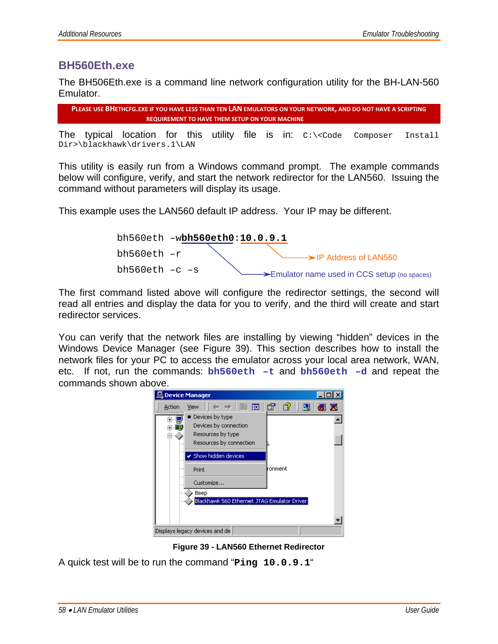### **BH560Eth.exe**

The BH506Eth.exe is a command line network configuration utility for the BH-LAN-560 Emulator.

```
PLEASE USE BHETHCFG. EXE IF YOU HAVE LESS THAN TEN LAN EMULATORS ON YOUR NETWORK. AND DO NOT HAVE A SCRIPTING
            REQUIREMENT TO HAVE THEM SETUP ON YOUR MACHINE
```
The typical location for this utility file is in:  $C:\< C$ ode Composer Install Dir>\blackhawk\drivers.1\LAN

This utility is easily run from a Windows command prompt. The example commands below will configure, verify, and start the network redirector for the LAN560. Issuing the command without parameters will display its usage.

This example uses the LAN560 default IP address. Your IP may be different.



The first command listed above will configure the redirector settings, the second will read all entries and display the data for you to verify, and the third will create and start redirector services.

You can verify that the network files are installing by viewing "hidden" devices in the Windows Device Manager (see Figure 39). This section describes how to install the network files for your PC to access the emulator across your local area network, WAN, etc. If not, run the commands: **bh560eth –t** and **bh560eth –d** and repeat the commands shown above.



**Figure 39 - LAN560 Ethernet Redirector** 

A quick test will be to run the command "**Ping 10.0.9.1**"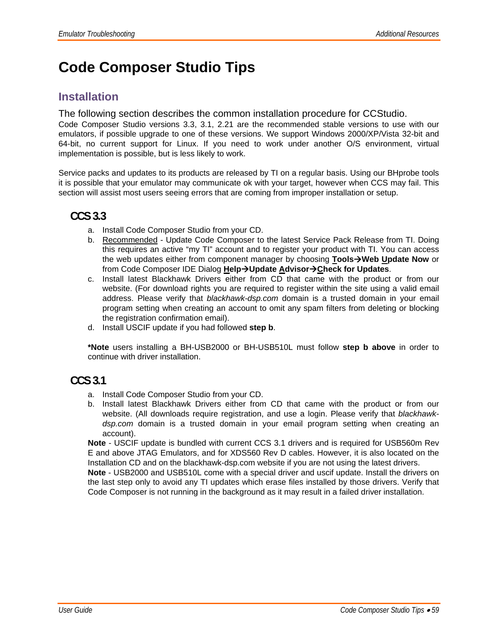## **Code Composer Studio Tips**

## **Installation**

The following section describes the common installation procedure for CCStudio.

Code Composer Studio versions 3.3, 3.1, 2.21 are the recommended stable versions to use with our emulators, if possible upgrade to one of these versions. We support Windows 2000/XP/Vista 32-bit and 64-bit, no current support for Linux. If you need to work under another O/S environment, virtual implementation is possible, but is less likely to work.

Service packs and updates to its products are released by TI on a regular basis. Using our BHprobe tools it is possible that your emulator may communicate ok with your target, however when CCS may fail. This section will assist most users seeing errors that are coming from improper installation or setup.

## **CCS 3.3**

- a. Install Code Composer Studio from your CD.
- b. Recommended Update Code Composer to the latest Service Pack Release from TI. Doing this requires an active "my TI" account and to register your product with TI. You can access the web updates either from component manager by choosing **Tools→Web Update Now** or from Code Composer IDE Dialog Help→Update Advisor→Check for Updates.
- c. Install latest Blackhawk Drivers either from CD that came with the product or from our website. (For download rights you are required to register within the site using a valid email address. Please verify that *blackhawk-dsp.com* domain is a trusted domain in your email program setting when creating an account to omit any spam filters from deleting or blocking the registration confirmation email).
- d. Install USCIF update if you had followed **step b**.

**\*Note** users installing a BH-USB2000 or BH-USB510L must follow **step b above** in order to continue with driver installation.

## **CCS 3.1**

- a. Install Code Composer Studio from your CD.
- b. Install latest Blackhawk Drivers either from CD that came with the product or from our website. (All downloads require registration, and use a login. Please verify that *blackhawkdsp.com* domain is a trusted domain in your email program setting when creating an account).

**Note** - USCIF update is bundled with current CCS 3.1 drivers and is required for USB560m Rev E and above JTAG Emulators, and for XDS560 Rev D cables. However, it is also located on the Installation CD and on the blackhawk-dsp.com website if you are not using the latest drivers. **Note** - USB2000 and USB510L come with a special driver and uscif update. Install the drivers on

the last step only to avoid any TI updates which erase files installed by those drivers. Verify that Code Composer is not running in the background as it may result in a failed driver installation.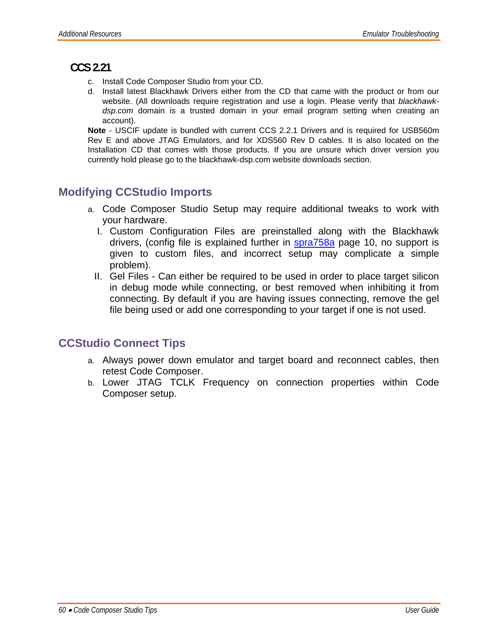## **CCS 2.21**

- c. Install Code Composer Studio from your CD.
- d. Install latest Blackhawk Drivers either from the CD that came with the product or from our website. (All downloads require registration and use a login. Please verify that *blackhawkdsp.com* domain is a trusted domain in your email program setting when creating an account).

**Note** - USCIF update is bundled with current CCS 2.2.1 Drivers and is required for USB560m Rev E and above JTAG Emulators, and for XDS560 Rev D cables. It is also located on the Installation CD that comes with those products. If you are unsure which driver version you currently hold please go to the blackhawk-dsp.com website downloads section.

## **Modifying CCStudio Imports**

- a. Code Composer Studio Setup may require additional tweaks to work with your hardware.
	- I. Custom Configuration Files are preinstalled along with the Blackhawk drivers, (config file is explained further in spra758a page 10, no support is given to custom files, and incorrect setup may complicate a simple problem).
	- II. Gel Files Can either be required to be used in order to place target silicon in debug mode while connecting, or best removed when inhibiting it from connecting. By default if you are having issues connecting, remove the gel file being used or add one corresponding to your target if one is not used.

## **CCStudio Connect Tips**

- a. Always power down emulator and target board and reconnect cables, then retest Code Composer.
- b. Lower JTAG TCLK Frequency on connection properties within Code Composer setup.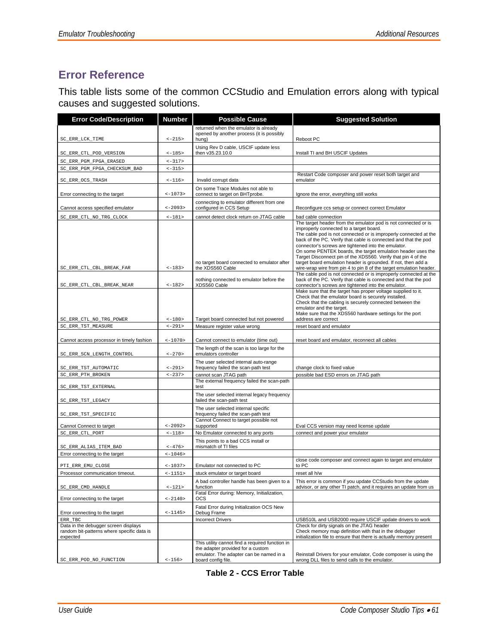## **Error Reference**

This table lists some of the common CCStudio and Emulation errors along with typical causes and suggested solutions.

| <b>Error Code/Description</b>                                                                  | <b>Number</b><br><b>Possible Cause</b> |                                                                                                                                 | <b>Suggested Solution</b>                                                                                                                                                                                                                                                                                                                                                                                                                                                                                |  |  |
|------------------------------------------------------------------------------------------------|----------------------------------------|---------------------------------------------------------------------------------------------------------------------------------|----------------------------------------------------------------------------------------------------------------------------------------------------------------------------------------------------------------------------------------------------------------------------------------------------------------------------------------------------------------------------------------------------------------------------------------------------------------------------------------------------------|--|--|
|                                                                                                |                                        | returned when the emulator is already                                                                                           |                                                                                                                                                                                                                                                                                                                                                                                                                                                                                                          |  |  |
| SC_ERR_LCK_TIME                                                                                | $<-215>$                               | opened by another process (it is possibly<br>hung)                                                                              | Reboot PC                                                                                                                                                                                                                                                                                                                                                                                                                                                                                                |  |  |
|                                                                                                |                                        | Using Rev D cable, USCIF update less                                                                                            |                                                                                                                                                                                                                                                                                                                                                                                                                                                                                                          |  |  |
| SC_ERR_CTL_POD_VERSION                                                                         | $<-185>$                               | then v35.23.10.0                                                                                                                | Install TI and BH USCIF Updates                                                                                                                                                                                                                                                                                                                                                                                                                                                                          |  |  |
| SC ERR PGM FPGA ERASED                                                                         | $<-317>$                               |                                                                                                                                 |                                                                                                                                                                                                                                                                                                                                                                                                                                                                                                          |  |  |
| SC ERR PGM FPGA CHECKSUM BAD                                                                   | $<-315>$                               |                                                                                                                                 |                                                                                                                                                                                                                                                                                                                                                                                                                                                                                                          |  |  |
| SC_ERR_OCS_TRASH                                                                               | $<-116>$                               | Invalid corrupt data                                                                                                            | Restart Code composer and power reset both target and<br>emulator                                                                                                                                                                                                                                                                                                                                                                                                                                        |  |  |
|                                                                                                |                                        | On some Trace Modules not able to                                                                                               |                                                                                                                                                                                                                                                                                                                                                                                                                                                                                                          |  |  |
| Error connecting to the target                                                                 | $<-1073>$                              | connect to target on BHTprobe.                                                                                                  | Ignore the error, everything still works                                                                                                                                                                                                                                                                                                                                                                                                                                                                 |  |  |
| Cannot access specified emulator                                                               | $<-2093>$                              | connecting to emulator different from one<br>configured in CCS Setup                                                            | Reconfigure ccs setup or connect correct Emulator                                                                                                                                                                                                                                                                                                                                                                                                                                                        |  |  |
| SC_ERR_CTL_NO_TRG_CLOCK                                                                        | $<-181>$                               | cannot detect clock return on JTAG cable                                                                                        | bad cable connection                                                                                                                                                                                                                                                                                                                                                                                                                                                                                     |  |  |
|                                                                                                |                                        | no target board connected to emulator after                                                                                     | The target header from the emulator pod is not connected or is<br>improperly connected to a target board.<br>The cable pod is not connected or is improperly connected at the<br>back of the PC. Verify that cable is connected and that the pod<br>connector's screws are tightened into the emulator.<br>On some PENTEK boards, the target emulation header uses the<br>Target Disconnect pin of the XDS560. Verify that pin 4 of the<br>target board emulation header is grounded. If not, then add a |  |  |
| SC_ERR_CTL_CBL_BREAK_FAR                                                                       | $<-183>$                               | the XDS560 Cable                                                                                                                | wire-wrap wire from pin 4 to pin 8 of the target emulation header.<br>The cable pod is not connected or is improperly connected at the                                                                                                                                                                                                                                                                                                                                                                   |  |  |
| SC_ERR_CTL_CBL_BREAK_NEAR                                                                      | $<-182>$                               | nothing connected to emulator before the<br>XDS560 Cable                                                                        | back of the PC. Verify that cable is connected and that the pod<br>connector's screws are tightened into the emulator.                                                                                                                                                                                                                                                                                                                                                                                   |  |  |
| SC_ERR_CTL_NO_TRG_POWER                                                                        | $<-180>$                               | Target board connected but not powered                                                                                          | Make sure that the target has proper voltage supplied to it.<br>Check that the emulator board is securely installed.<br>Check that the cabling is securely connected between the<br>emulator and the target.<br>Make sure that the XDS560 hardware settings for the port<br>address are correct                                                                                                                                                                                                          |  |  |
| SC_ERR_TST_MEASURE                                                                             | $<-291>$                               | Measure register value wrong                                                                                                    | reset board and emulator                                                                                                                                                                                                                                                                                                                                                                                                                                                                                 |  |  |
| Cannot access processor in timely fashion                                                      | $<-1070>$                              | Cannot connect to emulator (time out)                                                                                           | reset board and emulator, reconnect all cables                                                                                                                                                                                                                                                                                                                                                                                                                                                           |  |  |
| SC_ERR_SCN_LENGTH_CONTROL                                                                      | $<-270>$                               | The length of the scan is too large for the<br>emulators controller                                                             |                                                                                                                                                                                                                                                                                                                                                                                                                                                                                                          |  |  |
| SC_ERR_TST_AUTOMATIC                                                                           | $<-291>$                               | The user selected internal auto-range<br>frequency failed the scan-path test                                                    | change clock to fixed value                                                                                                                                                                                                                                                                                                                                                                                                                                                                              |  |  |
| SC_ERR_PTH_BROKEN                                                                              | $<-237>$                               | cannot scan JTAG path                                                                                                           | possible bad ESD errors on JTAG path                                                                                                                                                                                                                                                                                                                                                                                                                                                                     |  |  |
| SC_ERR_TST_EXTERNAL                                                                            |                                        | The external frequency failed the scan-path<br>test                                                                             |                                                                                                                                                                                                                                                                                                                                                                                                                                                                                                          |  |  |
| SC_ERR_TST_LEGACY                                                                              |                                        | The user selected internal legacy frequency<br>failed the scan-path test                                                        |                                                                                                                                                                                                                                                                                                                                                                                                                                                                                                          |  |  |
| SC_ERR_TST_SPECIFIC                                                                            |                                        | The user selected internal specific<br>frequency failed the scan-path test                                                      |                                                                                                                                                                                                                                                                                                                                                                                                                                                                                                          |  |  |
|                                                                                                |                                        | Cannot Connect to target possible not                                                                                           |                                                                                                                                                                                                                                                                                                                                                                                                                                                                                                          |  |  |
| Cannot Connect to target<br>SC_ERR_CTL_PORT                                                    | $<-2092>$<br>$<-118>$                  | supported<br>No Emulator connected to any ports                                                                                 | Eval CCS version may need license update<br>connect and power your emulator                                                                                                                                                                                                                                                                                                                                                                                                                              |  |  |
|                                                                                                |                                        | This points to a bad CCS install or                                                                                             |                                                                                                                                                                                                                                                                                                                                                                                                                                                                                                          |  |  |
| SC_ERR_ALIAS_ITEM_BAD                                                                          | $<-476>$                               | mismatch of TI files                                                                                                            |                                                                                                                                                                                                                                                                                                                                                                                                                                                                                                          |  |  |
| Error connecting to the target                                                                 | $<-1046>$                              |                                                                                                                                 |                                                                                                                                                                                                                                                                                                                                                                                                                                                                                                          |  |  |
| PTI_ERR_EMU_CLOSE                                                                              | $<-1037>$                              | Emulator not connected to PC                                                                                                    | close code composer and connect again to target and emulator<br>to PC                                                                                                                                                                                                                                                                                                                                                                                                                                    |  |  |
| Processor communication timeout.                                                               | $<-1151>$                              | stuck emulator or target board                                                                                                  | reset all h/w                                                                                                                                                                                                                                                                                                                                                                                                                                                                                            |  |  |
| SC_ERR_CMD_HANDLE                                                                              | $<-121>$                               | A bad controller handle has been given to a<br>function                                                                         | This error is common if you update CCStudio from the update<br>advisor, or any other TI patch, and it requires an update from us                                                                                                                                                                                                                                                                                                                                                                         |  |  |
| Error connecting to the target                                                                 | $<-2140>$                              | Fatal Error during: Memory, Initialization,<br>ocs                                                                              |                                                                                                                                                                                                                                                                                                                                                                                                                                                                                                          |  |  |
| Error connecting to the target                                                                 | $<-1145>$                              | Fatal Error during Initialization OCS New<br>Debug Frame                                                                        |                                                                                                                                                                                                                                                                                                                                                                                                                                                                                                          |  |  |
| ERR TBC                                                                                        |                                        | <b>Incorrect Drivers</b>                                                                                                        | USB510L and USB2000 require USCIF update drivers to work                                                                                                                                                                                                                                                                                                                                                                                                                                                 |  |  |
| Data in the debugger screen displays<br>random bit-patterns where specific data is<br>expected |                                        |                                                                                                                                 | Check for dirty signals on the JTAG header<br>Check memory map definition with that in the debugger<br>initialization file to ensure that there is actually memory present                                                                                                                                                                                                                                                                                                                               |  |  |
|                                                                                                |                                        | This utility cannot find a required function in<br>the adapter provided for a custom<br>emulator. The adapter can be named in a | Reinstall Drivers for your emulator, Code composer is using the                                                                                                                                                                                                                                                                                                                                                                                                                                          |  |  |
| SC_ERR_POD_NO_FUNCTION                                                                         | $<-156>$                               | board config file.                                                                                                              | wrong DLL files to send calls to the emulator.                                                                                                                                                                                                                                                                                                                                                                                                                                                           |  |  |

**Table 2 - CCS Error Table**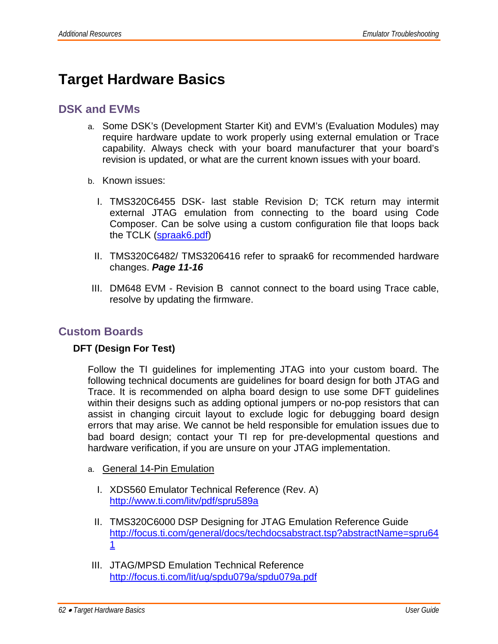## **Target Hardware Basics**

### **DSK and EVMs**

- a. Some DSK's (Development Starter Kit) and EVM's (Evaluation Modules) may require hardware update to work properly using external emulation or Trace capability. Always check with your board manufacturer that your board's revision is updated, or what are the current known issues with your board.
- b. Known issues:
	- I. TMS320C6455 DSK- last stable Revision D; TCK return may intermit external JTAG emulation from connecting to the board using Code Composer. Can be solve using a custom configuration file that loops back the TCLK (spraak6.pdf)
	- II. TMS320C6482/ TMS3206416 refer to spraak6 for recommended hardware changes. *Page 11-16*
- III. DM648 EVM Revision B cannot connect to the board using Trace cable, resolve by updating the firmware.

## **Custom Boards**

### **2. DFT (Design For Test)**

Follow the TI guidelines for implementing JTAG into your custom board. The following technical documents are guidelines for board design for both JTAG and Trace. It is recommended on alpha board design to use some DFT guidelines within their designs such as adding optional jumpers or no-pop resistors that can assist in changing circuit layout to exclude logic for debugging board design errors that may arise. We cannot be held responsible for emulation issues due to bad board design; contact your TI rep for pre-developmental questions and hardware verification, if you are unsure on your JTAG implementation.

- a. General 14-Pin Emulation
	- I. XDS560 Emulator Technical Reference (Rev. A) http://www.ti.com/litv/pdf/spru589a
	- II. TMS320C6000 DSP Designing for JTAG Emulation Reference Guide http://focus.ti.com/general/docs/techdocsabstract.tsp?abstractName=spru64 1
- III. JTAG/MPSD Emulation Technical Reference http://focus.ti.com/lit/ug/spdu079a/spdu079a.pdf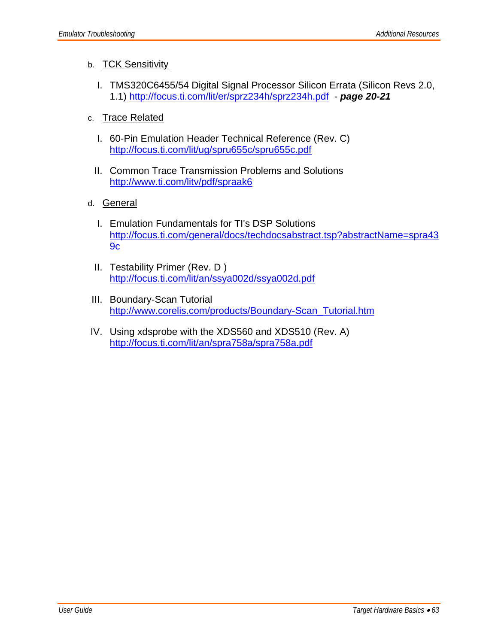### b. TCK Sensitivity

- I. TMS320C6455/54 Digital Signal Processor Silicon Errata (Silicon Revs 2.0, 1.1) http://focus.ti.com/lit/er/sprz234h/sprz234h.pdf - *page 20-21*
- c. Trace Related
	- I. 60-Pin Emulation Header Technical Reference (Rev. C) http://focus.ti.com/lit/ug/spru655c/spru655c.pdf
	- II. Common Trace Transmission Problems and Solutions http://www.ti.com/litv/pdf/spraak6
- d. General
	- I. Emulation Fundamentals for TI's DSP Solutions http://focus.ti.com/general/docs/techdocsabstract.tsp?abstractName=spra43 9c
	- II. Testability Primer (Rev. D ) http://focus.ti.com/lit/an/ssya002d/ssya002d.pdf
- III. Boundary-Scan Tutorial http://www.corelis.com/products/Boundary-Scan\_Tutorial.htm
- IV. Using xdsprobe with the XDS560 and XDS510 (Rev. A) http://focus.ti.com/lit/an/spra758a/spra758a.pdf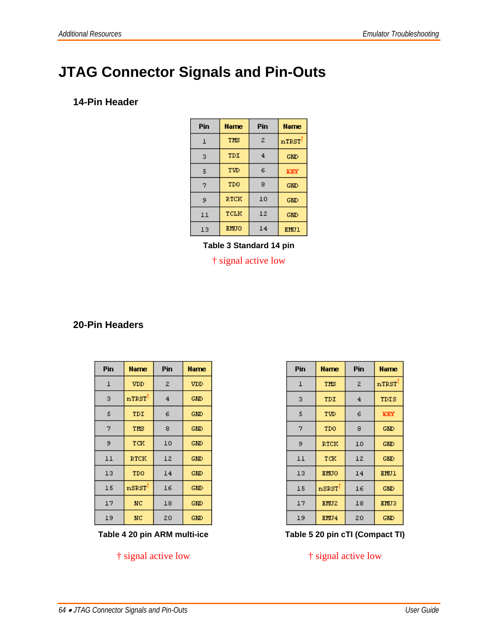## **JTAG Connector Signals and Pin-Outs**

### **1. 14-Pin Header**

| Pin          | Name        | Pin            | <b>Name</b> |
|--------------|-------------|----------------|-------------|
| $\mathbf{1}$ | THS         | $\overline{2}$ | nTRST       |
| з            | TDI         | $\overline{4}$ | <b>GMD</b>  |
| 5            | 6<br>TVD    |                | KEY         |
| 7            | <b>TDO</b>  | 8              | <b>GMD</b>  |
| 9            | RTCK        | 10             | <b>GMD</b>  |
| 11           | TCLK        | 12             | <b>GMD</b>  |
| 13           | <b>EMUO</b> | 14             | <b>EMU1</b> |

**Table 3 Standard 14 pin**

† signal active low

### **20-Pin Headers**

| Pin          | <b>Name</b> | Pin            | <b>Name</b> |
|--------------|-------------|----------------|-------------|
| $\mathbf{I}$ | <b>VDD</b>  | 2              | <b>VDD</b>  |
| з            | nTRST       | $\overline{4}$ | <b>GMD</b>  |
| 5            | TDI         | 6              | <b>GMD</b>  |
| 7            | THS         | 8              |             |
| 9            | TCK         | 10             | <b>GMD</b>  |
| 11           | RTCK        | 12             | <b>GMD</b>  |
| 13           | TDO         | 14             | <b>GMD</b>  |
| 15           | nSRST       | 16             | <b>GMD</b>  |
| 17           | NC          | 18             | <b>GMD</b>  |
| 19           | NC          | 20             | <b>GMD</b>  |

Table 4 20 pin ARM multi-ice Table 5 20 pin cTI (Compact TI)

| Pin          | Name                       | Pin               | <b>Name</b> |  |
|--------------|----------------------------|-------------------|-------------|--|
| $\mathbf{1}$ | THS                        | $\bar{z}$         | nTRST       |  |
| з            | TDI                        | 4                 | TDIS        |  |
| 5            | TVD                        | 6                 | KEY         |  |
| 7            | TDO                        | 8                 | <b>GMD</b>  |  |
| 9            | RTCK                       | 10                | <b>GMD</b>  |  |
| 11           | TCK                        | 12                | <b>GMD</b>  |  |
| 13           | <b>EMUO</b>                | 14                | <b>EMU1</b> |  |
| 15           | $\mathbf{nSSST}^{\dagger}$ | 16                | <b>GMD</b>  |  |
| 17           | EMU <sub>2</sub>           | 18<br><b>EMU3</b> |             |  |
| 19           | EMJ4                       | 20                | <b>GMD</b>  |  |

† signal active low † signal active low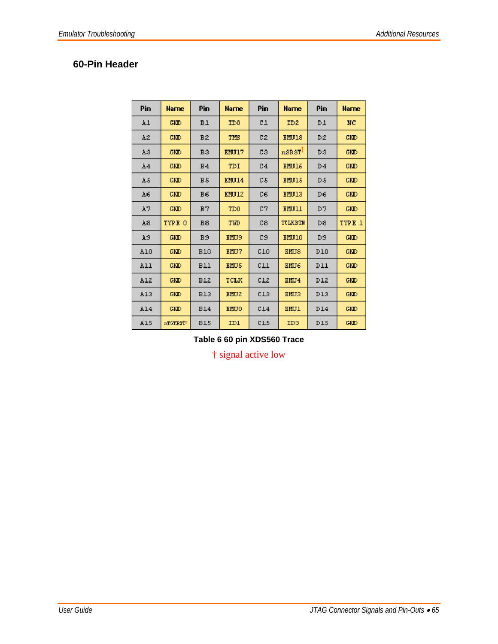## **60-Pin Header**

| Pin            | <b>Name</b> | Pin            | Narne                       | Pin            | <b>Narne</b>     | Pin            | <b>Narne</b> |
|----------------|-------------|----------------|-----------------------------|----------------|------------------|----------------|--------------|
| A1             | GMD         | B1             | ID0                         | C1             | ID <sub>2</sub>  | D <sub>1</sub> | NC           |
| AŽ.            | GMD         | ВŽ             | TMS                         | C2             | EMU18            | D2             | <b>GMD</b>   |
| A3             | GMD         | B3             | EMU17                       | CЗ             | nskst            | D3             | <b>GMD</b>   |
| A <sub>4</sub> | <b>GMD</b>  | B <sub>4</sub> | TDI                         | C <sub>4</sub> | EMU16            | D <sub>4</sub> | <b>GMD</b>   |
| A5             | GMD         | B.5            | <b>EMU14</b>                | C.5            | EMU15            | D <sub>5</sub> | GMD          |
| A6.            | <b>GMD</b>  | B6             | EMU12                       | C6             | EMU13            | D6             | <b>GMD</b>   |
| A7             | <b>GMD</b>  | B7             | T <sub>D</sub> <sub>0</sub> | C7             | EMU11            | D7             | <b>GMD</b>   |
| A8             | TYPE 0      | B8             | TVD                         | C8             | TULKETH          | D <sub>8</sub> | TYPE 1       |
| A9             | <b>CMD</b>  | B9             | <b>KHU9</b>                 | C9             | EMU10            | D <sub>9</sub> | <b>GMD</b>   |
| A10            | <b>GNID</b> | <b>B10</b>     | EHU7                        | C10            | EMU <sub>8</sub> | <b>D10</b>     | <b>GND</b>   |
| All            | <b>CMD</b>  | B11            | <b>EMU5</b>                 | CL1            | EMU <sub>6</sub> | DII            | <b>GMD</b>   |
| A12            | <b>GMD</b>  | B12            | TCLK                        | CL2            | EMU <sub>4</sub> | D12            | <b>GMD</b>   |
| A13            | <b>GMD</b>  | <b>B13</b>     | EMU <sub>2</sub>            | C13            | EMU3             | D13            | <b>GMD</b>   |
| A14            | <b>GMD</b>  | <b>B14</b>     | <b>EMUO</b>                 | C14            | <b>EMU1</b>      | D14            | <b>GMD</b>   |
| A15            | nTGTRST     | <b>B15</b>     | IDI                         | C15            | ID3              | <b>D15</b>     | <b>GMD</b>   |

**Table 6 60 pin XDS560 Trace**

† signal active low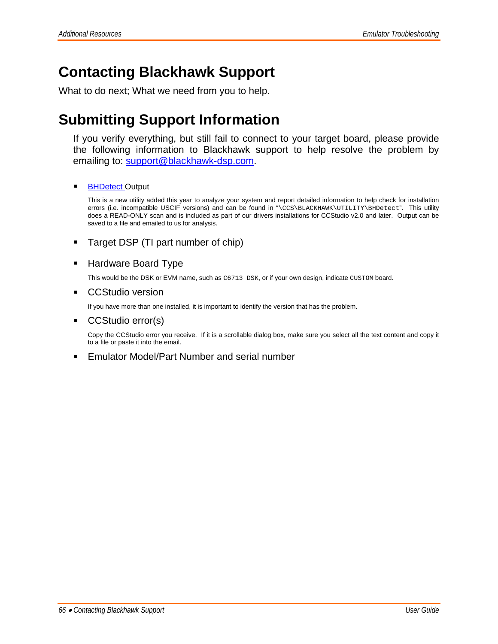## **Contacting Blackhawk Support**

What to do next; What we need from you to help.

## **Submitting Support Information**

If you verify everything, but still fail to connect to your target board, please provide the following information to Blackhawk support to help resolve the problem by emailing to: support@blackhawk-dsp.com.

#### **BHDetect Output**

This is a new utility added this year to analyze your system and report detailed information to help check for installation errors (i.e. incompatible USCIF versions) and can be found in "\CCS\BLACKHAWK\UTILITY\BHDetect". This utility does a READ-ONLY scan and is included as part of our drivers installations for CCStudio v2.0 and later. Output can be saved to a file and emailed to us for analysis.

#### **Target DSP (TI part number of chip)**

#### **Hardware Board Type**

This would be the DSK or EVM name, such as C6713 DSK, or if your own design, indicate CUSTOM board.

#### ■ CCStudio version

If you have more than one installed, it is important to identify the version that has the problem.

#### ■ CCStudio error(s)

Copy the CCStudio error you receive. If it is a scrollable dialog box, make sure you select all the text content and copy it to a file or paste it into the email.

■ Emulator Model/Part Number and serial number